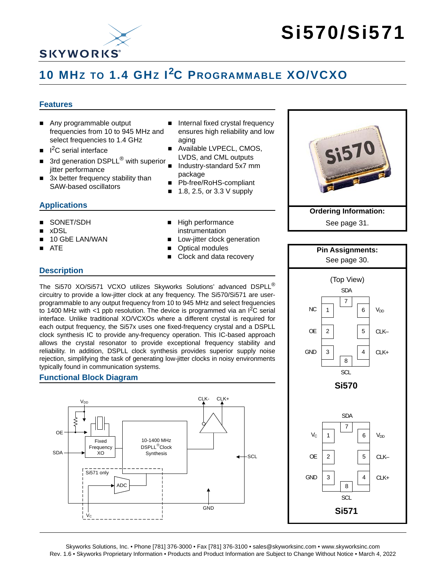

# **Si570/Si571**

## **10 MHZ TO 1.4 GHZ I2C PROGRAMMABLE XO/VCXO**

### **Features**

- Any programmable output frequencies from 10 to 945 MHz and select frequencies to 1.4 GHz
- $\blacksquare$  I<sup>2</sup>C serial interface
- 3rd generation DSPLL<sup>®</sup> with superior jitter performance
- 3x better frequency stability than SAW-based oscillators

### **Applications**

- SONET/SDH
- xDSL
- 10 GbE LAN/WAN
- ATE
- Internal fixed crystal frequency ensures high reliability and low aging
- Available LVPECL, CMOS, LVDS, and CML outputs
- Industry-standard 5x7 mm package
- Pb-free/RoHS-compliant
- $\blacksquare$  1.8, 2.5, or 3.3 V supply
- High performance instrumentation
- Low-jitter clock generation
- Optical modules
- Clock and data recovery



See [page 31.](#page-30-0)



The Si570 XO/Si571 VCXO utilizes Skyworks Solutions' advanced DSPLL<sup>®</sup> circuitry to provide a low-jitter clock at any frequency. The Si570/Si571 are userprogrammable to any output frequency from 10 to 945 MHz and select frequencies to 1400 MHz with  $\lt 1$  ppb resolution. The device is programmed via an  $I^2C$  serial interface. Unlike traditional XO/VCXOs where a different crystal is required for each output frequency, the Si57x uses one fixed-frequency crystal and a DSPLL clock synthesis IC to provide any-frequency operation. This IC-based approach allows the crystal resonator to provide exceptional frequency stability and reliability. In addition, DSPLL clock synthesis provides superior supply noise rejection, simplifying the task of generating low-jitter clocks in noisy environments typically found in communication systems.

### **Functional Block Diagram**



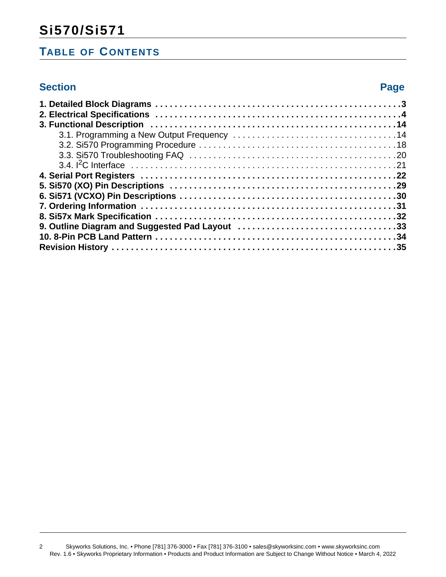### **Si570/Si571**

### **TABLE OF CONTENTS**

### **Section Page**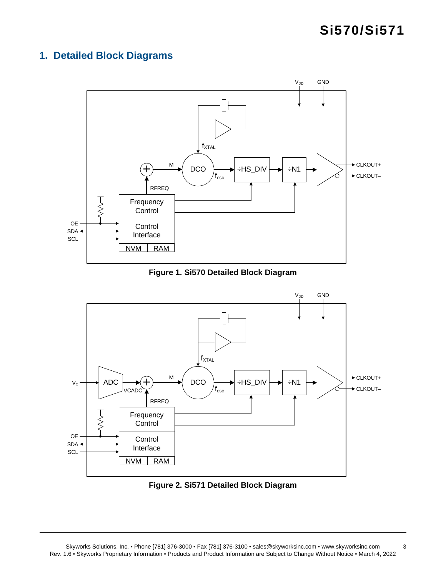### <span id="page-2-0"></span>**1. Detailed Block Diagrams**



### **Figure 1. Si570 Detailed Block Diagram**



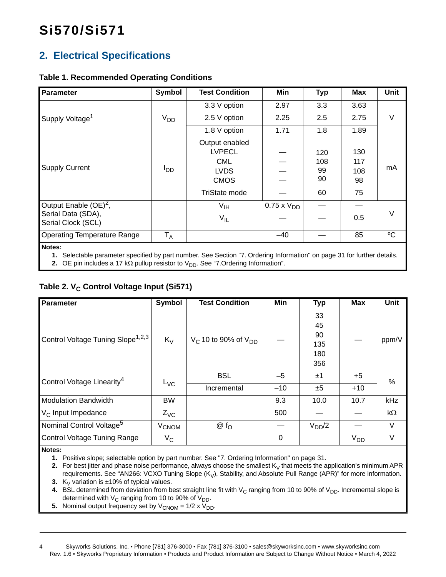### <span id="page-3-0"></span>**2. Electrical Specifications**

### **Table 1. Recommended Operating Conditions**

| Parameter                                                                                                                            | <b>Symbol</b>          | <b>Test Condition</b>                                                                               | Min                  | <b>Typ</b>                   | <b>Max</b>                    | <b>Unit</b> |
|--------------------------------------------------------------------------------------------------------------------------------------|------------------------|-----------------------------------------------------------------------------------------------------|----------------------|------------------------------|-------------------------------|-------------|
|                                                                                                                                      |                        | 3.3 V option                                                                                        | 2.97                 | 3.3                          | 3.63                          |             |
| Supply Voltage <sup>1</sup>                                                                                                          | $V_{DD}$               | 2.5 V option                                                                                        | 2.25                 | 2.5                          | 2.75                          | V           |
|                                                                                                                                      |                        | 1.8 V option                                                                                        | 1.71                 | 1.8                          | 1.89                          |             |
| <b>Supply Current</b>                                                                                                                | <b>I</b> <sub>DD</sub> | Output enabled<br><b>LVPECL</b><br><b>CML</b><br><b>LVDS</b><br><b>CMOS</b><br><b>TriState mode</b> |                      | 120<br>108<br>99<br>90<br>60 | 130<br>117<br>108<br>98<br>75 | mA          |
| Output Enable $(OE)^2$ ,<br>Serial Data (SDA),<br>Serial Clock (SCL)                                                                 |                        | $V_{\text{IH}}$<br>$V_{IL}$                                                                         | $0.75 \times V_{DD}$ |                              | 0.5                           | V           |
| <b>Operating Temperature Range</b>                                                                                                   | $T_A$                  |                                                                                                     | $-40$                |                              | 85                            | °C          |
| Notes:<br>de Onto the la proposation annothed burning work as Can Cantine IIZ Ordering Information La popular Od for further details |                        |                                                                                                     |                      |                              |                               |             |

<span id="page-3-1"></span>**1.** Selectable parameter specified by part number. See Section ["7. Ordering Information" on page 31](#page-30-0) for further details.

<span id="page-3-2"></span>**2.** OE pin includes a 17 k $\Omega$  pullup resistor to  $V_{DD}$ . See "7. Ordering Information".

### Table 2. V<sub>C</sub> Control Voltage Input (Si571)

| Parameter                                     | <b>Symbol</b>           | <b>Test Condition</b>         | Min      | <b>Typ</b>                          | Max      | <b>Unit</b> |
|-----------------------------------------------|-------------------------|-------------------------------|----------|-------------------------------------|----------|-------------|
| Control Voltage Tuning Slope <sup>1,2,3</sup> | $K_V$                   | $V_C$ 10 to 90% of $V_{DD}$   |          | 33<br>45<br>90<br>135<br>180<br>356 |          | ppm/V       |
| Control Voltage Linearity <sup>4</sup>        |                         | <b>BSL</b>                    | $-5$     | ±1                                  | $+5$     | $\%$        |
|                                               | $L_{\text{VC}}$         | Incremental                   | $-10$    | ±5                                  | $+10$    |             |
| <b>Modulation Bandwidth</b>                   | <b>BW</b>               |                               | 9.3      | 10.0                                | 10.7     | kHz         |
| V <sub>C</sub> Input Impedance                | $Z_{\text{VC}}$         |                               | 500      |                                     |          | kΩ          |
| Nominal Control Voltage <sup>5</sup>          | <b>V<sub>CNOM</sub></b> | $\circledcirc$ f <sub>O</sub> |          | $V_{DD}/2$                          |          | $\vee$      |
| <b>Control Voltage Tuning Range</b>           | $V_{\rm C}$             |                               | $\Omega$ |                                     | $V_{DD}$ | $\vee$      |

<span id="page-3-3"></span>**Notes:**

**1.** Positive slope; selectable option by part number. See ["7. Ordering Information" on page 31.](#page-30-0)

<span id="page-3-4"></span>**2.** For best jitter and phase noise performance, always choose the smallest  $K_V$  that meets the application's minimum APR requirements. See "AN266: VCXO Tuning Slope  $(K_V)$ , Stability, and Absolute Pull Range (APR)" for more information.

<span id="page-3-5"></span>**3.**  $K_V$  variation is  $\pm 10\%$  of typical values.

<span id="page-3-6"></span>**4.** BSL determined from deviation from best straight line fit with  $V_C$  ranging from 10 to 90% of  $V_{DD}$ . Incremental slope is determined with  $V_C$  ranging from 10 to 90% of  $V_{DD}$ .

<span id="page-3-7"></span>**5.** Nominal output frequency set by  $V_{\text{CNOM}} = 1/2 \times V_{\text{DD}}$ .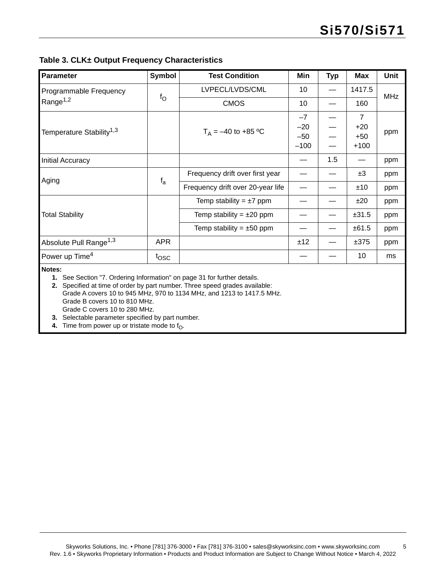<span id="page-4-4"></span>**Table 3. CLK± Output Frequency Characteristics**

| Parameter                                                                          | Symbol      | <b>Test Condition</b>             | Min    | <b>Typ</b> | <b>Max</b>     | Unit       |
|------------------------------------------------------------------------------------|-------------|-----------------------------------|--------|------------|----------------|------------|
| Programmable Frequency                                                             |             | LVPECL/LVDS/CML                   | 10     |            | 1417.5         | <b>MHz</b> |
| Range <sup>1,2</sup>                                                               | $f_{\rm O}$ | <b>CMOS</b>                       | 10     |            | 160            |            |
|                                                                                    |             |                                   | $-7$   |            | $\overline{7}$ |            |
| Temperature Stability <sup>1,3</sup>                                               |             | $T_A = -40$ to +85 °C             | $-20$  |            | $+20$          |            |
|                                                                                    |             |                                   | $-50$  |            | $+50$          | ppm        |
|                                                                                    |             |                                   | $-100$ |            | $+100$         |            |
| <b>Initial Accuracy</b>                                                            |             |                                   |        | 1.5        |                | ppm        |
|                                                                                    |             | Frequency drift over first year   |        |            | ±3             | ppm        |
| Aging                                                                              | $f_a$       | Frequency drift over 20-year life |        |            | ±10            | ppm        |
|                                                                                    |             | Temp stability = $\pm 7$ ppm      |        |            | ±20            | ppm        |
| <b>Total Stability</b>                                                             |             | Temp stability = $\pm 20$ ppm     |        |            | ±31.5          | ppm        |
|                                                                                    |             | Temp stability = $\pm 50$ ppm     |        |            | ±61.5          | ppm        |
| Absolute Pull Range <sup>1,3</sup>                                                 | <b>APR</b>  |                                   | ±12    |            | ±375           | ppm        |
| Power up Time <sup>4</sup>                                                         | tosc        |                                   |        |            | 10             | ms         |
| Notes:<br>1. See Section "7. Ordering Information" on page 31 for further details. |             |                                   |        |            |                |            |

<span id="page-4-1"></span><span id="page-4-0"></span>**2.** Specified at time of order by part number. Three speed grades available: Grade A covers 10 to 945 MHz, 970 to 1134 MHz, and 1213 to 1417.5 MHz. Grade B covers 10 to 810 MHz. Grade C covers 10 to 280 MHz.

<span id="page-4-2"></span>**3.** Selectable parameter specified by part number.

<span id="page-4-3"></span>**4.** Time from power up or tristate mode to  $f_0$ .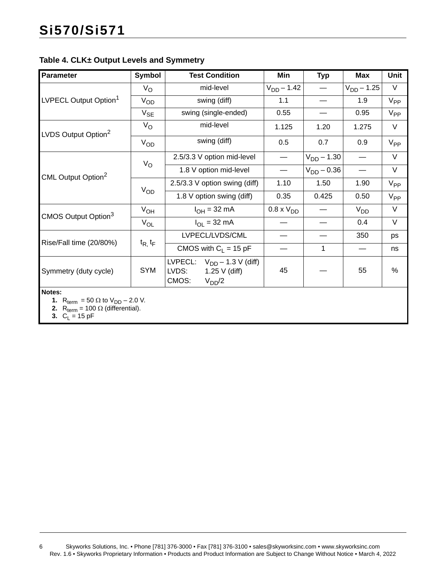### <span id="page-5-3"></span>**Table 4. CLK± Output Levels and Symmetry**

| Parameter                                                         | Symbol         | <b>Test Condition</b>                                                                      | Min              | <b>Typ</b>      | <b>Max</b>      | Unit     |
|-------------------------------------------------------------------|----------------|--------------------------------------------------------------------------------------------|------------------|-----------------|-----------------|----------|
| LVPECL Output Option <sup>1</sup>                                 | $V_{\rm O}$    | mid-level                                                                                  | $V_{DD} - 1.42$  |                 | $V_{DD} - 1.25$ | $\vee$   |
|                                                                   | $V_{OD}$       | swing (diff)                                                                               | 1.1              |                 | 1.9             | $V_{PP}$ |
|                                                                   | $V_{SE}$       | swing (single-ended)                                                                       | 0.55             |                 | 0.95            | $V_{PP}$ |
| LVDS Output Option <sup>2</sup>                                   | $V_{\rm O}$    | mid-level                                                                                  | 1.125            | 1.20            | 1.275           | V        |
|                                                                   | $V_{OD}$       | swing (diff)                                                                               | 0.5              | 0.7             | 0.9             | $V_{PP}$ |
| CML Output Option <sup>2</sup>                                    |                | 2.5/3.3 V option mid-level                                                                 |                  | $V_{DD} - 1.30$ |                 | $\vee$   |
|                                                                   | $V_{\rm O}$    | 1.8 V option mid-level                                                                     |                  | $V_{DD} - 0.36$ |                 | V        |
|                                                                   | $V_{OD}$       | 2.5/3.3 V option swing (diff)                                                              | 1.10             | 1.50            | 1.90            | $V_{PP}$ |
|                                                                   |                | 1.8 V option swing (diff)                                                                  | 0.35             | 0.425           | 0.50            | $V_{PP}$ |
| CMOS Output Option <sup>3</sup>                                   | $V_{OH}$       | $I_{OH} = 32 \text{ mA}$                                                                   | $0.8 \times VDD$ |                 | $V_{DD}$        | $\vee$   |
|                                                                   | $V_{OL}$       | $I_{OL}$ = 32 mA                                                                           |                  |                 | 0.4             | $\vee$   |
|                                                                   |                | LVPECL/LVDS/CML                                                                            |                  |                 | 350             | ps       |
| Rise/Fall time (20/80%)                                           | $t_{R, t_{F}}$ | CMOS with $C_1 = 15$ pF                                                                    |                  | 1               |                 | ns       |
| Symmetry (duty cycle)                                             | <b>SYM</b>     | LVPECL: $V_{DD} - 1.3 V$ (diff)<br>LVDS:<br>$1.25 \text{ V}$ (diff)<br>CMOS:<br>$V_{DD}/2$ | 45               |                 | 55              | $\%$     |
| Notes:<br>1. R <sub>term</sub> = 50 $\Omega$ to $V_{DD}$ – 2.0 V. |                |                                                                                            |                  |                 |                 |          |

<span id="page-5-0"></span>

<span id="page-5-2"></span><span id="page-5-1"></span>**2.**  $R_{\text{term}} = 100 \Omega$  (differential). **3.**  $C_L = 15 \text{ pF}$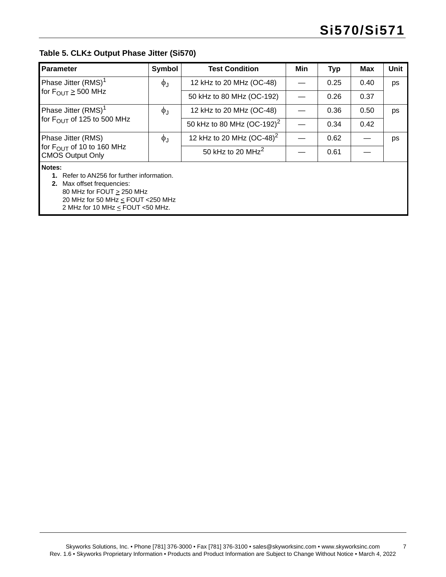### <span id="page-6-2"></span>**Table 5. CLK± Output Phase Jitter (Si570)**

<span id="page-6-1"></span><span id="page-6-0"></span>

| <b>Parameter</b>                                                                                                                                                                                          | Symbol            | <b>Test Condition</b>                 | Min | <b>Typ</b> | Max  | Unit |
|-----------------------------------------------------------------------------------------------------------------------------------------------------------------------------------------------------------|-------------------|---------------------------------------|-----|------------|------|------|
| Phase Jitter (RMS) <sup>1</sup>                                                                                                                                                                           | $\phi_{\text{J}}$ | 12 kHz to 20 MHz (OC-48)              |     | 0.25       | 0.40 | ps   |
| for $F_{\text{OUT}} \geq 500 \text{ MHz}$                                                                                                                                                                 |                   | 50 kHz to 80 MHz (OC-192)             |     | 0.26       | 0.37 |      |
| Phase Jitter (RMS) <sup>1</sup>                                                                                                                                                                           | $\phi_{\rm J}$    | 12 kHz to 20 MHz (OC-48)              |     | 0.36       | 0.50 | ps   |
| for F <sub>OUT</sub> of 125 to 500 MHz                                                                                                                                                                    |                   | 50 kHz to 80 MHz $(OC-192)^2$         |     | 0.34       | 0.42 |      |
| Phase Jitter (RMS)                                                                                                                                                                                        | $\phi_{\text{J}}$ | 12 kHz to 20 MHz (OC-48) <sup>2</sup> |     | 0.62       |      | ps   |
| for F <sub>OUT</sub> of 10 to 160 MHz<br><b>CMOS Output Only</b>                                                                                                                                          |                   | 50 kHz to 20 MHz <sup>2</sup>         |     | 0.61       |      |      |
| Notes:<br>1. Refer to AN256 for further information.<br><b>2.</b> Max offset frequencies:<br>80 MHz for FOUT $\geq$ 250 MHz<br>20 MHz for 50 MHz < FOUT < 250 MHz<br>2 MHz for 10 MHz $\le$ FOUT <50 MHz. |                   |                                       |     |            |      |      |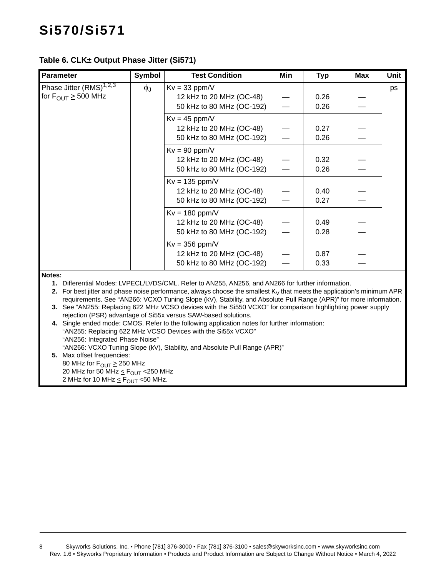### **Table 6. CLK± Output Phase Jitter (Si571)**

| <b>Parameter</b>                          | <b>Symbol</b>     | <b>Test Condition</b>                                 | Min | <b>Typ</b>   | Max | <b>Unit</b> |
|-------------------------------------------|-------------------|-------------------------------------------------------|-----|--------------|-----|-------------|
| Phase Jitter (RMS) <sup>1,2,3</sup>       | $\phi_{\text{J}}$ | $Kv = 33$ ppm/V                                       |     |              |     | ps          |
| for $F_{\text{OUT}} \geq 500 \text{ MHz}$ |                   | 12 kHz to 20 MHz (OC-48)<br>50 kHz to 80 MHz (OC-192) |     | 0.26<br>0.26 |     |             |
|                                           |                   | $Kv = 45$ ppm/V                                       |     |              |     |             |
|                                           |                   | 12 kHz to 20 MHz (OC-48)                              |     | 0.27         |     |             |
|                                           |                   | 50 kHz to 80 MHz (OC-192)                             |     | 0.26         |     |             |
|                                           |                   | $Kv = 90$ ppm/V                                       |     |              |     |             |
|                                           |                   | 12 kHz to 20 MHz (OC-48)                              |     | 0.32         |     |             |
|                                           |                   | 50 kHz to 80 MHz (OC-192)                             |     | 0.26         |     |             |
|                                           |                   | $Kv = 135$ ppm/V                                      |     |              |     |             |
|                                           |                   | 12 kHz to 20 MHz (OC-48)                              |     | 0.40         |     |             |
|                                           |                   | 50 kHz to 80 MHz (OC-192)                             |     | 0.27         |     |             |
|                                           |                   | $Kv = 180$ ppm/V                                      |     |              |     |             |
|                                           |                   | 12 kHz to 20 MHz (OC-48)                              |     | 0.49         |     |             |
|                                           |                   | 50 kHz to 80 MHz (OC-192)                             |     | 0.28         |     |             |
|                                           |                   | $Kv = 356$ ppm/V                                      |     |              |     |             |
|                                           |                   | 12 kHz to 20 MHz (OC-48)                              |     | 0.87         |     |             |
|                                           |                   | 50 kHz to 80 MHz (OC-192)                             |     | 0.33         |     |             |
| Notes:                                    |                   |                                                       |     |              |     |             |

<span id="page-7-0"></span>**Notes:**

**1.** Differential Modes: LVPECL/LVDS/CML. Refer to AN255, AN256, and AN266 for further information.

<span id="page-7-1"></span>**2.** For best jitter and phase noise performance, always choose the smallest  $K_V$  that meets the application's minimum APR requirements. See "AN266: VCXO Tuning Slope (kV), Stability, and Absolute Pull Range (APR)" for more information.

- <span id="page-7-2"></span>**3.** See "AN255: Replacing 622 MHz VCSO devices with the Si550 VCXO" for comparison highlighting power supply rejection (PSR) advantage of Si55x versus SAW-based solutions.
- <span id="page-7-3"></span>**4.** Single ended mode: CMOS. Refer to the following application notes for further information: "AN255: Replacing 622 MHz VCSO Devices with the Si55x VCXO" "AN256: Integrated Phase Noise" "AN266: VCXO Tuning Slope (kV), Stability, and Absolute Pull Range (APR)"
- <span id="page-7-4"></span>**5.** Max offset frequencies: 80 MHz for  $F_{\text{OUT}} \geq 250$  MHz 20 MHz for 50 MHz  $\leq$  F<sub>OUT</sub> < 250 MHz 2 MHz for 10 MHz  $\leq$  F<sub>OUT</sub> <50 MHz.

8 Skyworks Solutions, Inc. • Phone [781] 376-3000 • Fax [781] 376-3100 • sales@skyworksinc.com • www.skyworksinc.com Rev. 1.6 • Skyworks Proprietary Information • Products and Product Information are Subject to Change Without Notice • March 4, 2022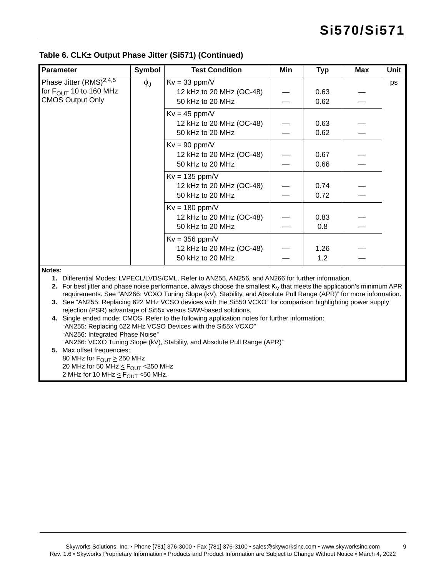— —

— —

| <b>Parameter</b>                    | Symbol | <b>Test Condition</b>    | Min | <b>Typ</b> | Max | Unit |
|-------------------------------------|--------|--------------------------|-----|------------|-----|------|
| Phase Jitter (RMS) <sup>2,4,5</sup> | ΦJ     | $Kv = 33$ ppm/V          |     |            |     | ps   |
| for $F_{\text{OUT}}$ 10 to 160 MHz  |        | 12 kHz to 20 MHz (OC-48) |     | 0.63       |     |      |
| <b>CMOS Output Only</b>             |        | 50 kHz to 20 MHz         |     | 0.62       |     |      |
|                                     |        | $Kv = 45$ ppm/V          |     |            |     |      |
|                                     |        | 12 kHz to 20 MHz (OC-48) |     | 0.63       |     |      |
|                                     |        | 50 kHz to 20 MHz         |     | 0.62       |     |      |
|                                     |        | $Kv = 90$ ppm/V          |     |            |     |      |
|                                     |        | 12 kHz to 20 MHz (OC-48) |     | 0.67       |     |      |
|                                     |        | 50 kHz to 20 MHz         |     | 0.66       |     |      |
|                                     |        | $Kv = 135$ ppm/V         |     |            |     |      |
|                                     |        | 12 kHz to 20 MHz (OC-48) |     | 0.74       |     |      |
|                                     |        | 50 kHz to 20 MHz         |     | 0.72       |     |      |

 $Kv = 180$  ppm/V

 $Kv = 356$  ppm/V

#### **Table 6. CLK± Output Phase Jitter (Si571) (Continued)**

**Notes:**

**1.** Differential Modes: LVPECL/LVDS/CML. Refer to AN255, AN256, and AN266 for further information.

50 kHz to 20 MHz

50 kHz to 20 MHz

**2.** For best jitter and phase noise performance, always choose the smallest  $K_V$  that meets the application's minimum APR requirements. See "AN266: VCXO Tuning Slope (kV), Stability, and Absolute Pull Range (APR)" for more information.

**3.** See "AN255: Replacing 622 MHz VCSO devices with the Si550 VCXO" for comparison highlighting power supply rejection (PSR) advantage of Si55x versus SAW-based solutions.

12 kHz to 20 MHz (OC-48)

12 kHz to 20 MHz (OC-48)

— —

— — 0.83 0.8

1.26 1.2

**4.** Single ended mode: CMOS. Refer to the following application notes for further information: "AN255: Replacing 622 MHz VCSO Devices with the Si55x VCXO" "AN256: Integrated Phase Noise" "AN266: VCXO Tuning Slope (kV), Stability, and Absolute Pull Range (APR)" **5.** Max offset frequencies:

80 MHz for  $F_{\text{OUT}} \geq 250$  MHz 20 MHz for 50 MHz  $\leq$  F<sub>OUT</sub> < 250 MHz 2 MHz for 10 MHz  $\leq$  F<sub>OUT</sub> <50 MHz.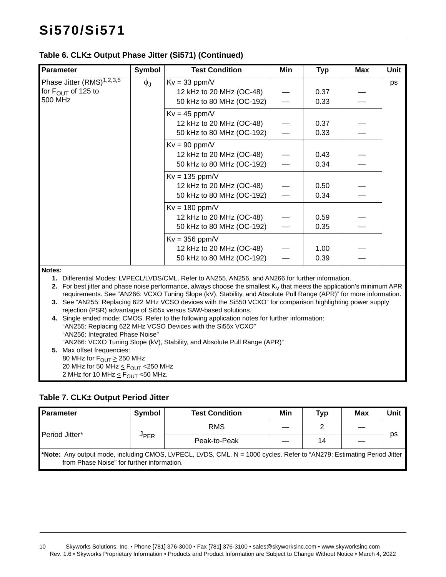### **Table 6. CLK± Output Phase Jitter (Si571) (Continued)**

| <b>Parameter</b>                                                                                                                                                                                                                 | <b>Symbol</b>     | <b>Test Condition</b>                                                                                                     | Min | <b>Typ</b> | <b>Max</b> | <b>Unit</b> |  |
|----------------------------------------------------------------------------------------------------------------------------------------------------------------------------------------------------------------------------------|-------------------|---------------------------------------------------------------------------------------------------------------------------|-----|------------|------------|-------------|--|
| Phase Jitter $(RMS)^{1,2,3,5}$                                                                                                                                                                                                   | $\phi_{\text{J}}$ | $Kv = 33$ ppm/V                                                                                                           |     |            |            | ps          |  |
| for $F_{\text{OUT}}$ of 125 to                                                                                                                                                                                                   |                   | 12 kHz to 20 MHz (OC-48)                                                                                                  |     | 0.37       |            |             |  |
| 500 MHz                                                                                                                                                                                                                          |                   | 50 kHz to 80 MHz (OC-192)                                                                                                 |     | 0.33       |            |             |  |
|                                                                                                                                                                                                                                  |                   | $Kv = 45$ ppm/V                                                                                                           |     |            |            |             |  |
|                                                                                                                                                                                                                                  |                   | 12 kHz to 20 MHz (OC-48)                                                                                                  |     | 0.37       |            |             |  |
|                                                                                                                                                                                                                                  |                   | 50 kHz to 80 MHz (OC-192)                                                                                                 |     | 0.33       |            |             |  |
|                                                                                                                                                                                                                                  |                   | $Kv = 90$ ppm/V                                                                                                           |     |            |            |             |  |
|                                                                                                                                                                                                                                  |                   | 12 kHz to 20 MHz (OC-48)                                                                                                  |     | 0.43       |            |             |  |
|                                                                                                                                                                                                                                  |                   | 50 kHz to 80 MHz (OC-192)                                                                                                 |     | 0.34       |            |             |  |
|                                                                                                                                                                                                                                  |                   | $Kv = 135$ ppm/V                                                                                                          |     |            |            |             |  |
|                                                                                                                                                                                                                                  |                   | 12 kHz to 20 MHz (OC-48)                                                                                                  |     | 0.50       |            |             |  |
|                                                                                                                                                                                                                                  |                   | 50 kHz to 80 MHz (OC-192)                                                                                                 |     | 0.34       |            |             |  |
|                                                                                                                                                                                                                                  |                   | $Kv = 180$ ppm/V                                                                                                          |     |            |            |             |  |
|                                                                                                                                                                                                                                  |                   | 12 kHz to 20 MHz (OC-48)                                                                                                  |     | 0.59       |            |             |  |
|                                                                                                                                                                                                                                  |                   | 50 kHz to 80 MHz (OC-192)                                                                                                 |     | 0.35       |            |             |  |
|                                                                                                                                                                                                                                  |                   | $Kv = 356$ ppm/V                                                                                                          |     |            |            |             |  |
|                                                                                                                                                                                                                                  |                   | 12 kHz to 20 MHz (OC-48)                                                                                                  |     | 1.00       |            |             |  |
|                                                                                                                                                                                                                                  |                   | 50 kHz to 80 MHz (OC-192)                                                                                                 |     | 0.39       |            |             |  |
| Notes:                                                                                                                                                                                                                           |                   |                                                                                                                           |     |            |            |             |  |
|                                                                                                                                                                                                                                  |                   | 1. Differential Modes: LVPECL/LVDS/CML. Refer to AN255, AN256, and AN266 for further information.                         |     |            |            |             |  |
|                                                                                                                                                                                                                                  |                   | 2. For best jitter and phase noise performance, always choose the smallest $K_V$ that meets the application's minimum APR |     |            |            |             |  |
| requirements. See "AN266: VCXO Tuning Slope (kV), Stability, and Absolute Pull Range (APR)" for more information.<br>3. See "AN255: Replacing 622 MHz VCSO devices with the Si550 VCXO" for comparison highlighting power supply |                   |                                                                                                                           |     |            |            |             |  |
|                                                                                                                                                                                                                                  |                   | rejection (PSR) advantage of Si55x versus SAW-based solutions.                                                            |     |            |            |             |  |
|                                                                                                                                                                                                                                  |                   | 4. Single ended mode: CMOS. Refer to the following application notes for further information:                             |     |            |            |             |  |
|                                                                                                                                                                                                                                  |                   | "AN255: Replacing 622 MHz VCSO Devices with the Si55x VCXO"                                                               |     |            |            |             |  |

"AN256: Integrated Phase Noise" "AN266: VCXO Tuning Slope (kV), Stability, and Absolute Pull Range (APR)" **5.** Max offset frequencies: 80 MHz for  $F_{\text{OUT}} \geq 250$  MHz 20 MHz for 50 MHz  $\leq$  F<sub>OUT</sub> < 250 MHz 2 MHz for 10 MHz  $\leq$  F<sub>OUT</sub> <50 MHz.

### **Table 7. CLK± Output Period Jitter**

| <b>Parameter</b>                                                                                                                                                    | Symbol      | <b>Test Condition</b> | Min | Typ | Max | Unit |  |  |
|---------------------------------------------------------------------------------------------------------------------------------------------------------------------|-------------|-----------------------|-----|-----|-----|------|--|--|
| Period Jitter*                                                                                                                                                      |             | <b>RMS</b>            |     |     |     |      |  |  |
|                                                                                                                                                                     | <b>JPER</b> | Peak-to-Peak          |     | 14  |     | ps   |  |  |
| *Note: Any output mode, including CMOS, LVPECL, LVDS, CML. N = 1000 cycles. Refer to "AN279: Estimating Period Jitter<br>from Phase Noise" for further information. |             |                       |     |     |     |      |  |  |

10 Skyworks Solutions, Inc. • Phone [781] 376-3000 • Fax [781] 376-3100 • sales@skyworksinc.com • www.skyworksinc.com Rev. 1.6 • Skyworks Proprietary Information • Products and Product Information are Subject to Change Without Notice • March 4, 2022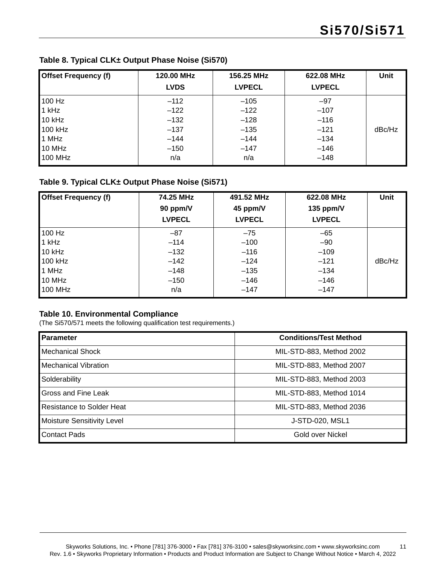| <b>Offset Frequency (f)</b> | 120.00 MHz  | 156.25 MHz    | 622.08 MHz    | Unit   |
|-----------------------------|-------------|---------------|---------------|--------|
|                             | <b>LVDS</b> | <b>LVPECL</b> | <b>LVPECL</b> |        |
| 100 Hz                      | $-112$      | $-105$        | $-97$         |        |
| $1$ kHz                     | $-122$      | $-122$        | $-107$        |        |
| 10 kHz                      | $-132$      | $-128$        | $-116$        |        |
| 100 kHz                     | $-137$      | $-135$        | $-121$        | dBc/Hz |
| 1 MHz                       | $-144$      | $-144$        | $-134$        |        |
| 10 MHz                      | $-150$      | $-147$        | $-146$        |        |
| 100 MHz                     | n/a         | n/a           | $-148$        |        |

### **Table 9. Typical CLK± Output Phase Noise (Si571)**

| <b>Offset Frequency (f)</b> | 74.25 MHz<br>90 ppm/V<br><b>LVPECL</b> | 491.52 MHz<br>45 ppm/V<br><b>LVPECL</b> | 622.08 MHz<br>135 ppm/V<br><b>LVPECL</b> | <b>Unit</b> |
|-----------------------------|----------------------------------------|-----------------------------------------|------------------------------------------|-------------|
| 100 Hz                      | $-87$                                  | $-75$                                   | $-65$                                    |             |
| $1$ kHz                     | $-114$                                 | $-100$                                  | $-90$                                    |             |
| 10 kHz                      | $-132$                                 | $-116$                                  | $-109$                                   |             |
| 100 kHz                     | $-142$                                 | $-124$                                  | $-121$                                   | dBc/Hz      |
| 1 MHz                       | $-148$                                 | $-135$                                  | $-134$                                   |             |
| 10 MHz                      | $-150$                                 | $-146$                                  | $-146$                                   |             |
| 100 MHz                     | n/a                                    | $-147$                                  | $-147$                                   |             |

#### <span id="page-10-0"></span>**Table 10. Environmental Compliance**

(The Si570/571 meets the following qualification test requirements.)

| <b>Parameter</b>                 | <b>Conditions/Test Method</b> |
|----------------------------------|-------------------------------|
| <b>Mechanical Shock</b>          | MIL-STD-883, Method 2002      |
| <b>Mechanical Vibration</b>      | MIL-STD-883, Method 2007      |
| Solderability                    | MIL-STD-883, Method 2003      |
| Gross and Fine Leak              | MIL-STD-883, Method 1014      |
| <b>Resistance to Solder Heat</b> | MIL-STD-883, Method 2036      |
| Moisture Sensitivity Level       | J-STD-020, MSL1               |
| <b>Contact Pads</b>              | Gold over Nickel              |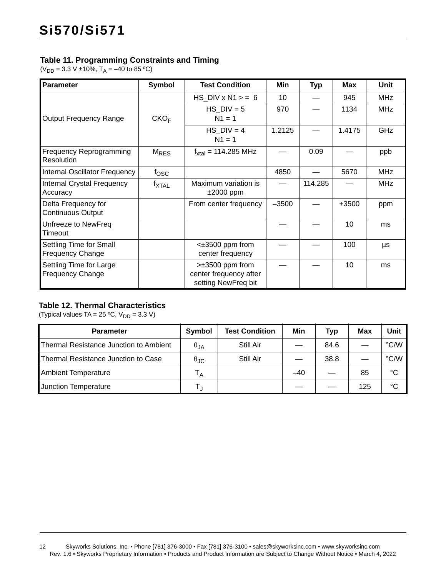### <span id="page-11-0"></span>**Table 11. Programming Constraints and Timing**

( $V_{DD}$  = 3.3 V ±10%, T<sub>A</sub> = -40 to 85 °C)

| <b>Parameter</b>                                   | Symbol           | <b>Test Condition</b>                                                     | Min     | <b>Typ</b> | <b>Max</b> | Unit       |
|----------------------------------------------------|------------------|---------------------------------------------------------------------------|---------|------------|------------|------------|
|                                                    |                  | HS DIV $x$ N1 $>$ = 6                                                     | 10      |            | 945        | <b>MHz</b> |
| <b>Output Frequency Range</b>                      | CKO <sub>F</sub> | $HS$ DIV = 5<br>$N1 = 1$                                                  | 970     |            | 1134       | <b>MHz</b> |
|                                                    |                  | $HS$ DIV = 4<br>$N1 = 1$                                                  | 1.2125  |            | 1.4175     | GHz        |
| Frequency Reprogramming<br><b>Resolution</b>       | $M_{RES}$        | $f_{\text{xtal}} = 114.285 \text{ MHz}$                                   |         | 0.09       |            | ppb        |
| Internal Oscillator Frequency                      | $f_{\rm{OSC}}$   |                                                                           | 4850    |            | 5670       | <b>MHz</b> |
| Internal Crystal Frequency<br>Accuracy             | <b>T</b> XTAL    | Maximum variation is<br>$±2000$ ppm                                       |         | 114.285    |            | <b>MHz</b> |
| Delta Frequency for<br><b>Continuous Output</b>    |                  | From center frequency                                                     | $-3500$ |            | $+3500$    | ppm        |
| Unfreeze to NewFreq<br>Timeout                     |                  |                                                                           |         |            | 10         | ms         |
| Settling Time for Small<br><b>Frequency Change</b> |                  | $\leq \pm 3500$ ppm from<br>center frequency                              |         |            | 100        | μs         |
| Settling Time for Large<br><b>Frequency Change</b> |                  | $\geq \pm 3500$ ppm from<br>center frequency after<br>setting NewFreq bit |         |            | 10         | ms         |

### <span id="page-11-1"></span>**Table 12. Thermal Characteristics**

(Typical values TA =  $25 °C$ ,  $V_{DD} = 3.3 V$ )

| <b>Parameter</b>                       | Symbol               | <b>Test Condition</b> | Min   | Typ  | Max | Unit        |
|----------------------------------------|----------------------|-----------------------|-------|------|-----|-------------|
| Thermal Resistance Junction to Ambient | $\theta_{JA}$        | Still Air             |       | 84.6 |     | °C/W        |
| Thermal Resistance Junction to Case    | $\theta_{\text{JC}}$ | Still Air             |       | 38.8 |     | °C/W        |
| <b>Ambient Temperature</b>             | $T_A$                |                       | $-40$ |      | 85  | $^{\circ}C$ |
| Junction Temperature                   |                      |                       |       |      | 125 | °C          |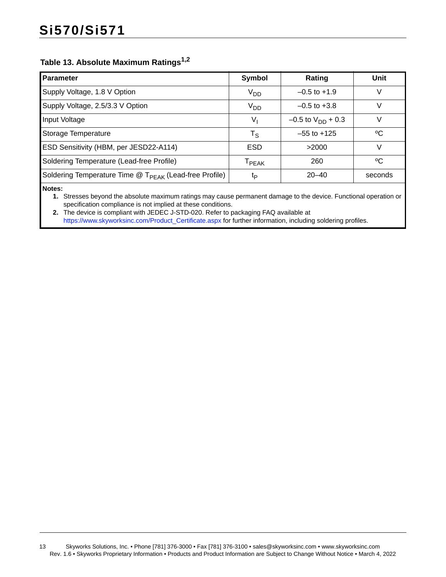### <span id="page-12-2"></span>**Table 13. Absolute Maximum Ratings[1,](#page-12-0)[2](#page-12-1)**

| <b>Parameter</b>                                                   | Symbol                  | Rating                   | Unit    |
|--------------------------------------------------------------------|-------------------------|--------------------------|---------|
| Supply Voltage, 1.8 V Option                                       | <b>V<sub>DD</sub></b>   | $-0.5$ to $+1.9$         | V       |
| Supply Voltage, 2.5/3.3 V Option                                   | V <sub>DD</sub>         | $-0.5$ to $+3.8$         |         |
| Input Voltage                                                      | V,                      | $-0.5$ to $V_{DD}$ + 0.3 |         |
| Storage Temperature                                                | $\mathsf{T}_\mathsf{S}$ | $-55$ to $+125$          | °C      |
| ESD Sensitivity (HBM, per JESD22-A114)                             | <b>ESD</b>              | >2000                    |         |
| Soldering Temperature (Lead-free Profile)                          | $I_{PEAK}$              | 260                      | °C      |
| Soldering Temperature Time @ T <sub>PEAK</sub> (Lead-free Profile) | t <sub>P</sub>          | $20 - 40$                | seconds |
|                                                                    |                         |                          |         |

<span id="page-12-0"></span>**Notes:**

**1.** Stresses beyond the absolute maximum ratings may cause permanent damage to the device. Functional operation or specification compliance is not implied at these conditions.

<span id="page-12-1"></span>**2.** The device is compliant with JEDEC J-STD-020. Refer to packaging FAQ available at [https://www.skyworksinc.com/Product\\_Certificate.aspx](https://www.skyworksinc.com/Product_Certificate.aspx) for further information, including soldering profiles.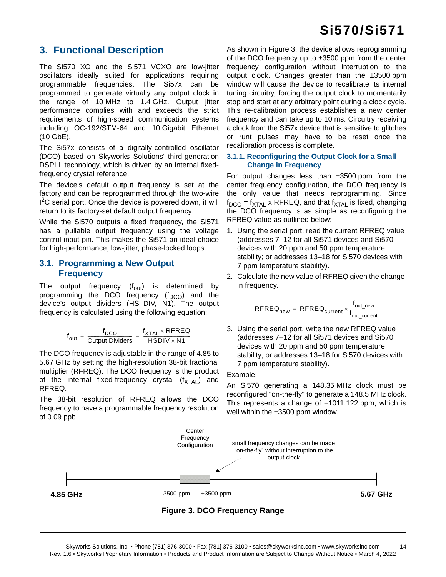### <span id="page-13-0"></span>**3. Functional Description**

The Si570 XO and the Si571 VCXO are low-jitter oscillators ideally suited for applications requiring programmable frequencies. The Si57x can be programmed to generate virtually any output clock in the range of 10 MHz to 1.4 GHz. Output jitter performance complies with and exceeds the strict requirements of high-speed communication systems including OC-192/STM-64 and 10 Gigabit Ethernet (10 GbE).

The Si57x consists of a digitally-controlled oscillator (DCO) based on Skyworks Solutions' third-generation DSPLL technology, which is driven by an internal fixedfrequency crystal reference.

The device's default output frequency is set at the factory and can be reprogrammed through the two-wire <sup>2</sup>C serial port. Once the device is powered down, it will return to its factory-set default output frequency.

While the Si570 outputs a fixed frequency, the Si571 has a pullable output frequency using the voltage control input pin. This makes the Si571 an ideal choice for high-performance, low-jitter, phase-locked loops.

### <span id="page-13-1"></span>**3.1. Programming a New Output Frequency**

The output frequency  $(f_{\text{out}})$  is determined by programming the DCO frequency  $(f_{DCO})$  and the device's output dividers (HS\_DIV, N1). The output frequency is calculated using the following equation:

$$
f_{\text{out}} = \frac{f_{\text{DCO}}}{\text{Output Dividers}} = \frac{f_{\text{XTAL}} \times \text{RFREQ}}{\text{HSDIV} \times \text{N1}}
$$

The DCO frequency is adjustable in the range of 4.85 to 5.67 GHz by setting the high-resolution 38-bit fractional multiplier (RFREQ). The DCO frequency is the product of the internal fixed-frequency crystal  $(f_{\text{XTAL}})$  and RFREQ.

The 38-bit resolution of RFREQ allows the DCO frequency to have a programmable frequency resolution of 0.09 ppb.

As shown in [Figure 3](#page-13-2), the device allows reprogramming of the DCO frequency up to ±3500 ppm from the center frequency configuration without interruption to the output clock. Changes greater than the ±3500 ppm window will cause the device to recalibrate its internal tuning circuitry, forcing the output clock to momentarily stop and start at any arbitrary point during a clock cycle. This re-calibration process establishes a new center frequency and can take up to 10 ms. Circuitry receiving a clock from the Si57x device that is sensitive to glitches or runt pulses may have to be reset once the recalibration process is complete.

#### **3.1.1. Reconfiguring the Output Clock for a Small Change in Frequency**

For output changes less than  $\pm 3500$  ppm from the center frequency configuration, the DCO frequency is the only value that needs reprogramming. Since  $f_{\text{DCO}} = f_{\text{XTAL}}$  x RFREQ, and that  $f_{\text{XTAL}}$  is fixed, changing the DCO frequency is as simple as reconfiguring the RFREQ value as outlined below:

- 1. Using the serial port, read the current RFREQ value (addresses 7–12 for all Si571 devices and Si570 devices with 20 ppm and 50 ppm temperature stability; or addresses 13–18 for Si570 devices with 7 ppm temperature stability).
- 2. Calculate the new value of RFREQ given the change in frequency.

$$
\text{RFREQ}_{\text{new}} = \text{RFREQ}_{\text{current}} \times \frac{f_{\text{out\_new}}}{f_{\text{out\_current}}}
$$

3. Using the serial port, write the new RFREQ value (addresses 7–12 for all Si571 devices and Si570 devices with 20 ppm and 50 ppm temperature stability; or addresses 13–18 for Si570 devices with 7 ppm temperature stability).

Example:

An Si570 generating a 148.35 MHz clock must be reconfigured "on-the-fly" to generate a 148.5 MHz clock. This represents a change of +1011.122 ppm, which is well within the ±3500 ppm window.

<span id="page-13-2"></span>

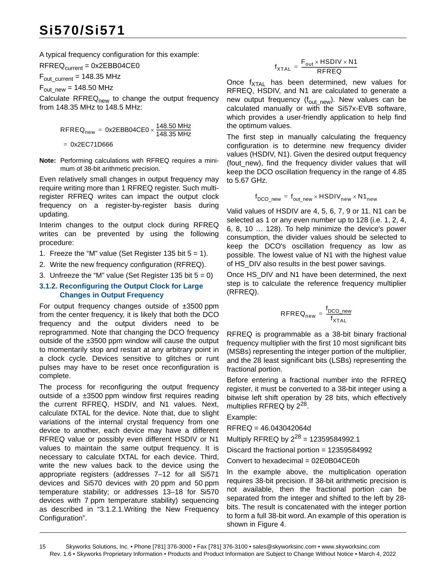A typical frequency configuration for this example:

 $RFREQ<sub>current</sub> = 0x2EBB04CE0$ 

 $F_{\text{out\_current}} = 148.35 \text{ MHz}$ 

 $F_{\text{out}}$   $_{\text{new}}$  = 148.50 MHz

Calculate  $RFREQ<sub>new</sub>$  to change the output frequency from 148.35 MHz to 148.5 MHz:

$$
RFREQnew = 0x2EBB04CE0 \times \frac{148.50 \text{ MHz}}{148.35 \text{ MHz}}
$$

0x2EC71D666 =

**Note:** Performing calculations with RFREQ requires a minimum of 38-bit arithmetic precision.

Even relatively small changes in output frequency may require writing more than 1 RFREQ register. Such multiregister RFREQ writes can impact the output clock frequency on a register-by-register basis during updating.

Interim changes to the output clock during RFREQ writes can be prevented by using the following procedure:

- 1. Freeze the "M" value (Set Register 135 bit  $5 = 1$ ).
- 2. Write the new frequency configuration (RFREQ).
- 3. Unfreeze the "M" value (Set Register 135 bit  $5 = 0$ )

#### <span id="page-14-0"></span>**3.1.2. Reconfiguring the Output Clock for Large Changes in Output Frequency**

For output frequency changes outside of ±3500 ppm from the center frequency, it is likely that both the DCO frequency and the output dividers need to be reprogrammed. Note that changing the DCO frequency outside of the ±3500 ppm window will cause the output to momentarily stop and restart at any arbitrary point in a clock cycle. Devices sensitive to glitches or runt pulses may have to be reset once reconfiguration is complete.

The process for reconfiguring the output frequency outside of a  $\pm 3500$  ppm window first requires reading the current RFREQ, HSDIV, and N1 values. Next, calculate fXTAL for the device. Note that, due to slight variations of the internal crystal frequency from one device to another, each device may have a different RFREQ value or possibly even different HSDIV or N1 values to maintain the same output frequency. It is necessary to calculate fXTAL for each device. Third, write the new values back to the device using the appropriate registers (addresses 7–12 for all Si571 devices and Si570 devices with 20 ppm and 50 ppm temperature stability; or addresses 13–18 for Si570 devices with 7 ppm temperature stability) sequencing as described in ["3.1.2.1.Writing the New Frequency](#page-15-0) [Configuration".](#page-15-0)

$$
f_{\text{XTAL}} = \frac{F_{\text{out}} \times \text{HSDIV} \times \text{N1}}{\text{RFREQ}}
$$

Once  $f_{\text{XTAI}}$  has been determined, new values for RFREQ, HSDIV, and N1 are calculated to generate a new output frequency  $(f_{out\_new})$ . New values can be calculated manually or with the Si57x-EVB software, which provides a user-friendly application to help find the optimum values.

The first step in manually calculating the frequency configuration is to determine new frequency divider values (HSDIV, N1). Given the desired output frequency (fout new), find the frequency divider values that will keep the DCO oscillation frequency in the range of 4.85 to 5.67 GHz.

$$
f_{\text{DCO\_new}} = f_{\text{out\_new}} \times \text{HSDIV}_{\text{new}} \times \text{N1}_{\text{new}}
$$

Valid values of HSDIV are 4, 5, 6, 7, 9 or 11. N1 can be selected as 1 or any even number up to 128 (i.e. 1, 2, 4, 6, 8, 10 … 128). To help minimize the device's power consumption, the divider values should be selected to keep the DCO's oscillation frequency as low as possible. The lowest value of N1 with the highest value of HS DIV also results in the best power savings.

Once HS DIV and N1 have been determined, the next step is to calculate the reference frequency multiplier (RFREQ).

$$
\text{RFREQ}_{\text{new}} = \frac{f_{\text{DCO\_new}}}{f_{\text{XTAL}}}
$$

RFREQ is programmable as a 38-bit binary fractional frequency multiplier with the first 10 most significant bits (MSBs) representing the integer portion of the multiplier, and the 28 least significant bits (LSBs) representing the fractional portion.

Before entering a fractional number into the RFREQ register, it must be converted to a 38-bit integer using a bitwise left shift operation by 28 bits, which effectively multiplies RFREQ by  $2^{28}$ .

Example:

RFREQ = 46.043042064d

Multiply RFREQ by  $2^{28}$  = 12359584992.1

Discard the fractional portion = 12359584992

Convert to hexadecimal = 02E0B04CE0h

In the example above, the multiplication operation requires 38-bit precision. If 38-bit arithmetic precision is not available, then the fractional portion can be separated from the integer and shifted to the left by 28 bits. The result is concatenated with the integer portion to form a full 38-bit word. An example of this operation is shown in [Figure 4](#page-15-1).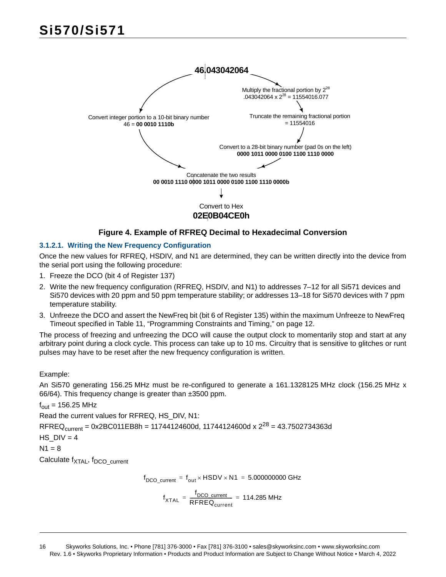

### **Figure 4. Example of RFREQ Decimal to Hexadecimal Conversion**

### <span id="page-15-1"></span><span id="page-15-0"></span>**3.1.2.1. Writing the New Frequency Configuration**

Once the new values for RFREQ, HSDIV, and N1 are determined, they can be written directly into the device from the serial port using the following procedure:

- 1. Freeze the DCO (bit 4 of Register 137)
- 2. Write the new frequency configuration (RFREQ, HSDIV, and N1) to addresses 7–12 for all Si571 devices and Si570 devices with 20 ppm and 50 ppm temperature stability; or addresses 13–18 for Si570 devices with 7 ppm temperature stability.
- 3. Unfreeze the DCO and assert the NewFreq bit (bit 6 of Register 135) within the maximum Unfreeze to NewFreq Timeout specified in [Table 11, "Programming Constraints and Timing," on page 12](#page-11-0).

The process of freezing and unfreezing the DCO will cause the output clock to momentarily stop and start at any arbitrary point during a clock cycle. This process can take up to 10 ms. Circuitry that is sensitive to glitches or runt pulses may have to be reset after the new frequency configuration is written.

#### Example:

An Si570 generating 156.25 MHz must be re-configured to generate a 161.1328125 MHz clock (156.25 MHz x 66/64). This frequency change is greater than ±3500 ppm.

 $f<sub>out</sub> = 156.25 MHz$ 

Read the current values for RFREQ, HS\_DIV, N1:

RFREQ<sub>current</sub> = 0x2BC011EB8h = 11744124600d, 11744124600d x  $2^{28}$  = 43.7502734363d

HS  $DIV = 4$ 

 $N1 = 8$ 

Calculate f<sub>XTAL</sub>, f<sub>DCO\_current</sub>

$$
f_{DCO\_current} = f_{out} \times HSDV \times N1 = 5.000000000 \text{ GHz}
$$

$$
f_{\text{XTAL}} = \frac{f_{\text{DCO\_current}}}{\text{RFREQ}_{\text{current}}} = 114.285 \text{ MHz}
$$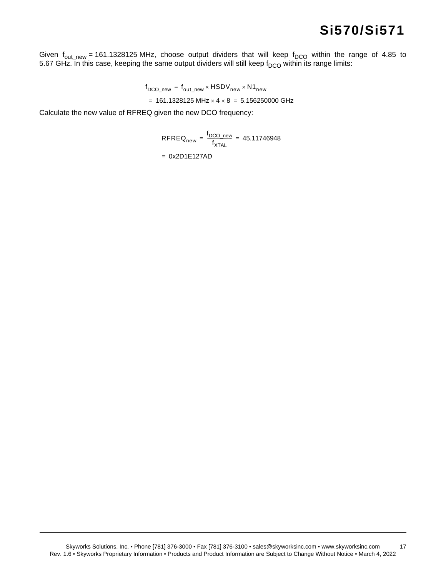Given f<sub>out\_new</sub> = 161.1328125 MHz, choose output dividers that will keep f<sub>DCO</sub> within the range of 4.85 to 5.67 GHz. In this case, keeping the same output dividers will still keep f<sub>DCO</sub> within its range limits:

> f DCO\_new f out\_new HSDVnew N1new =  $= 161.1328125 \text{ MHz} \times 4 \times 8 = 5.156250000 \text{ GHz}$

Calculate the new value of RFREQ given the new DCO frequency:

 $\mathsf{RFREQ}_{\mathsf{new}} = \frac{\mathsf{f}_{\mathsf{DCO\_new}}}{\mathsf{f}}$  $=\frac{1000 \text{ new}}{f_{\text{XTAL}}}$  = 45.11746948 = 0x2D1E127AD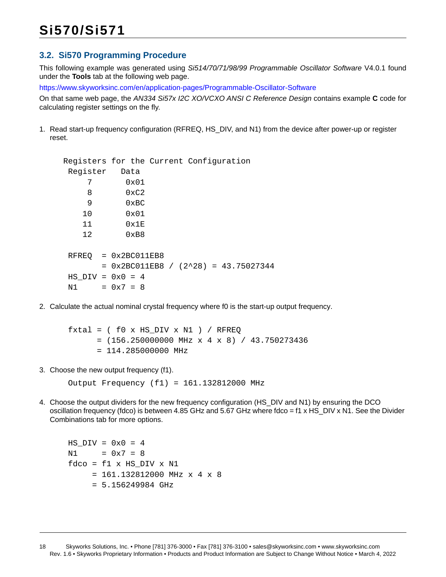### <span id="page-17-0"></span>**3.2. Si570 Programming Procedure**

This following example was generated using *Si514/70/71/98/99 Programmable Oscillator Software* V4.0.1 found under the **Tools** tab at the following web page.

<https://www.skyworksinc.com/en/application-pages/Programmable-Oscillator-Software>

On that same web page, the *AN334 Si57x I2C XO/VCXO ANSI C Reference Design* contains example **C** code for calculating register settings on the fly.

1. Read start-up frequency configuration (RFREQ, HS\_DIV, and N1) from the device after power-up or register reset.

```
 Registers for the Current Configuration 
 Register Data
     7 0x01
     8 0xC2
     9 0xBC
    10 0x01
    11 0x1E
    12 0xB8
RFREO = 0x2BC011EB8= 0x2BC011EB8 / (2^28) = 43.75027344HS DIV = 0x0 = 4N1 = 0x7 = 8
```
2. Calculate the actual nominal crystal frequency where f0 is the start-up output frequency.

```
f(xtal = ( f0 x HS DIV x NI ) / RFREO= (156.250000000 MHz x 4 x 8) / 43.750273436
      = 114.285000000 MHz
```
3. Choose the new output frequency (f1).

Output Frequency (f1) = 161.132812000 MHz

4. Choose the output dividers for the new frequency configuration (HS\_DIV and N1) by ensuring the DCO oscillation frequency (fdco) is between 4.85 GHz and 5.67 GHz where fdco = f1 x HS\_DIV x N1. See the Divider Combinations tab for more options.

```
HS DIV = 0x0 = 4 N1 = 0x7 = 8
fdco = f1 \times HS DIV \times N1
     = 161.132812000 MHz \ge 4 \times 8= 5.156249984 GHz
```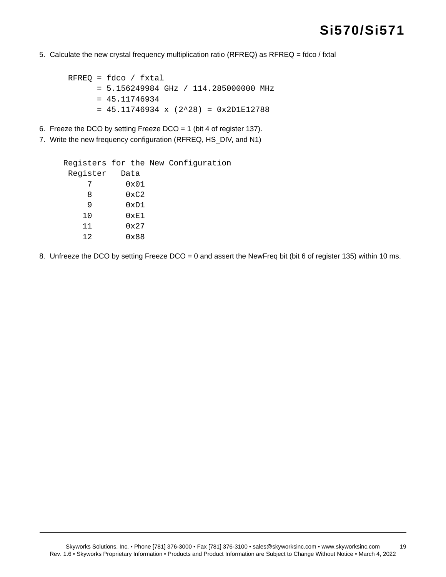5. Calculate the new crystal frequency multiplication ratio (RFREQ) as RFREQ = fdco / fxtal

```
RFREQ = fdco / fxtal = 5.156249984 GHz / 114.285000000 MHz
       = 45.11746934
      = 45.11746934 \times (2^28) = 0x2D1E12788
```
- 6. Freeze the DCO by setting Freeze DCO = 1 (bit 4 of register 137).
- 7. Write the new frequency configuration (RFREQ, HS\_DIV, and N1)

```
 Registers for the New Configuration 
 Register Data
     7 0x01
     8 0xC2
     9 0xD1
    10 0xE1
    11 0x27
    12 0x88
```
8. Unfreeze the DCO by setting Freeze DCO = 0 and assert the NewFreq bit (bit 6 of register 135) within 10 ms.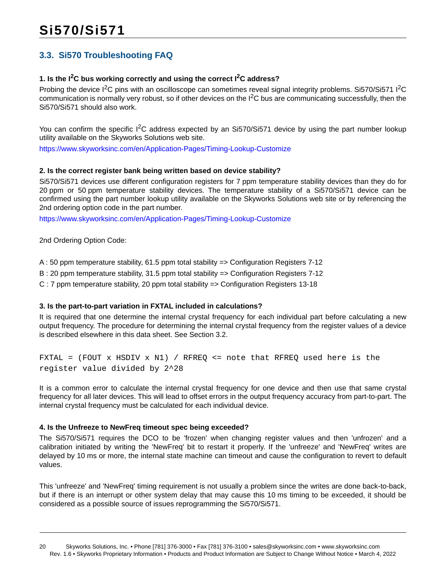### <span id="page-19-0"></span>**3.3. Si570 Troubleshooting FAQ**

### **1. Is the I2C bus working correctly and using the correct I2C address?**

Probing the device I<sup>2</sup>C pins with an oscilloscope can sometimes reveal signal integrity problems. Si570/Si571 I<sup>2</sup>C communication is normally very robust, so if other devices on the  $I<sup>2</sup>C$  bus are communicating successfully, then the Si570/Si571 should also work.

You can confirm the specific  $I^2C$  address expected by an Si570/Si571 device by using the part number lookup utility available on the Skyworks Solutions web site.

<https://www.skyworksinc.com/en/Application-Pages/Timing-Lookup-Customize>

#### **2. Is the correct register bank being written based on device stability?**

Si570/Si571 devices use different configuration registers for 7 ppm temperature stability devices than they do for 20 ppm or 50 ppm temperature stability devices. The temperature stability of a Si570/Si571 device can be confirmed using the part number lookup utility available on the Skyworks Solutions web site or by referencing the 2nd ordering option code in the part number.

<https://www.skyworksinc.com/en/Application-Pages/Timing-Lookup-Customize>

2nd Ordering Option Code:

A : 50 ppm temperature stability, 61.5 ppm total stability => Configuration Registers 7-12

B : 20 ppm temperature stability, 31.5 ppm total stability => Configuration Registers 7-12

C : 7 ppm temperature stability, 20 ppm total stability => Configuration Registers 13-18

#### **3. Is the part-to-part variation in FXTAL included in calculations?**

It is required that one determine the internal crystal frequency for each individual part before calculating a new output frequency. The procedure for determining the internal crystal frequency from the register values of a device is described elsewhere in this data sheet. See Section [3.2](#page-17-0).

FXTAL = (FOUT x HSDIV x N1) / RFREQ  $\le$  note that RFREQ used here is the register value divided by 2^28

It is a common error to calculate the internal crystal frequency for one device and then use that same crystal frequency for all later devices. This will lead to offset errors in the output frequency accuracy from part-to-part. The internal crystal frequency must be calculated for each individual device.

#### **4. Is the Unfreeze to NewFreq timeout spec being exceeded?**

The Si570/Si571 requires the DCO to be 'frozen' when changing register values and then 'unfrozen' and a calibration initiated by writing the 'NewFreq' bit to restart it properly. If the 'unfreeze' and 'NewFreq' writes are delayed by 10 ms or more, the internal state machine can timeout and cause the configuration to revert to default values.

This 'unfreeze' and 'NewFreq' timing requirement is not usually a problem since the writes are done back-to-back, but if there is an interrupt or other system delay that may cause this 10 ms timing to be exceeded, it should be considered as a possible source of issues reprogramming the Si570/Si571.

<sup>20</sup> Skyworks Solutions, Inc. • Phone [781] 376-3000 • Fax [781] 376-3100 • sales@skyworksinc.com • www.skyworksinc.com Rev. 1.6 • Skyworks Proprietary Information • Products and Product Information are Subject to Change Without Notice • March 4, 2022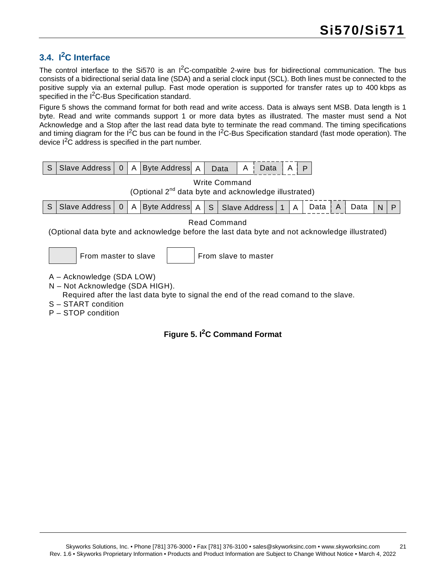### <span id="page-20-0"></span>**3.4. I2C Interface**

The control interface to the Si570 is an  $I<sup>2</sup>C$ -compatible 2-wire bus for bidirectional communication. The bus consists of a bidirectional serial data line (SDA) and a serial clock input (SCL). Both lines must be connected to the positive supply via an external pullup. Fast mode operation is supported for transfer rates up to 400 kbps as specified in the I<sup>2</sup>C-Bus Specification standard.

[Figure 5](#page-20-1) shows the command format for both read and write access. Data is always sent MSB. Data length is 1 byte. Read and write commands support 1 or more data bytes as illustrated. The master must send a Not Acknowledge and a Stop after the last read data byte to terminate the read command. The timing specifications and timing diagram for the  $12C$  bus can be found in the  $12C$ -Bus Specification standard (fast mode operation). The device  $I^2C$  address is specified in the part number.



<span id="page-20-1"></span>P – STOP condition

### **Figure 5. I2C Command Format**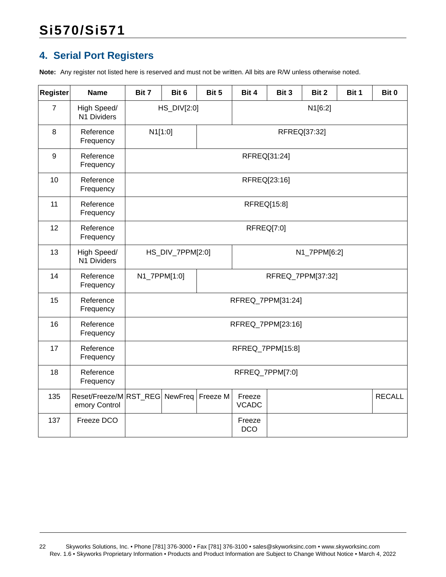### <span id="page-21-0"></span>**4. Serial Port Registers**

**Note:** Any register not listed here is reserved and must not be written. All bits are R/W unless otherwise noted.

| <b>Register</b>  | <b>Name</b>                            | Bit 7        | Bit 6            | Bit 5           | Bit 4                                   | Bit 3 | Bit 2             | Bit 1 | Bit 0 |
|------------------|----------------------------------------|--------------|------------------|-----------------|-----------------------------------------|-------|-------------------|-------|-------|
| $\overline{7}$   | High Speed/<br>N1 Dividers             |              | HS_DIV[2:0]      |                 | N1[6:2]                                 |       |                   |       |       |
| 8                | Reference<br>Frequency                 | N1[1:0]      |                  |                 |                                         |       | RFREQ[37:32]      |       |       |
| $\boldsymbol{9}$ | Reference<br>Frequency                 |              |                  |                 | RFREQ[31:24]                            |       |                   |       |       |
| 10               | Reference<br>Frequency                 |              |                  |                 | RFREQ[23:16]                            |       |                   |       |       |
| 11               | Reference<br>Frequency                 |              |                  |                 | RFREQ[15:8]                             |       |                   |       |       |
| 12               | Reference<br>Frequency                 |              | RFREQ[7:0]       |                 |                                         |       |                   |       |       |
| 13               | High Speed/<br>N1 Dividers             |              | HS_DIV_7PPM[2:0] |                 |                                         |       | N1_7PPM[6:2]      |       |       |
| 14               | Reference<br>Frequency                 | N1_7PPM[1:0] |                  |                 |                                         |       | RFREQ_7PPM[37:32] |       |       |
| 15               | Reference<br>Frequency                 |              |                  |                 | RFREQ_7PPM[31:24]                       |       |                   |       |       |
| 16               | Reference<br>Frequency                 |              |                  |                 | RFREQ_7PPM[23:16]                       |       |                   |       |       |
| 17               | Reference<br>Frequency                 |              |                  |                 | RFREQ_7PPM[15:8]                        |       |                   |       |       |
| 18               | Reference<br>Frequency                 |              |                  | RFREQ_7PPM[7:0] |                                         |       |                   |       |       |
| 135              | Reset/Freeze/MRST_REG<br>emory Control |              | NewFreq          | Freeze M        | <b>RECALL</b><br>Freeze<br><b>VCADC</b> |       |                   |       |       |
| 137              | Freeze DCO                             |              |                  |                 | Freeze<br><b>DCO</b>                    |       |                   |       |       |

<sup>22</sup> Skyworks Solutions, Inc. • Phone [781] 376-3000 • Fax [781] 376-3100 • sales@skyworksinc.com • www.skyworksinc.com Rev. 1.6 • Skyworks Proprietary Information • Products and Product Information are Subject to Change Without Notice • March 4, 2022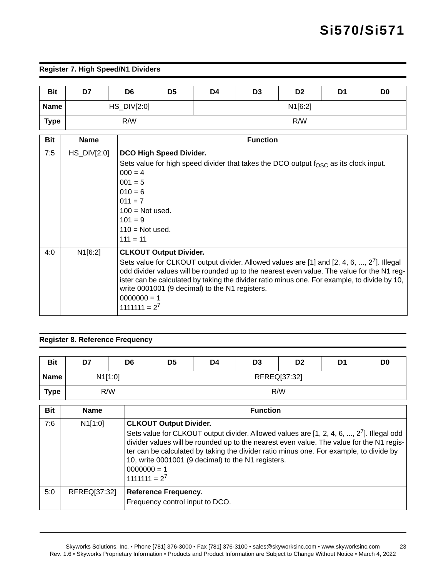### **Register 7. High Speed/N1 Dividers**

| <b>Bit</b>  | D7            | D <sub>6</sub> | D <sub>5</sub>          | D <sub>2</sub><br>D <sub>0</sub><br>D <sub>3</sub><br>D4<br>D <sub>1</sub> |  |     |  |  |  |  |  |
|-------------|---------------|----------------|-------------------------|----------------------------------------------------------------------------|--|-----|--|--|--|--|--|
| <b>Name</b> |               | $HS_DIV[2:0]$  |                         | N1[6:2]                                                                    |  |     |  |  |  |  |  |
| <b>Type</b> |               | R/W            |                         |                                                                            |  | R/W |  |  |  |  |  |
| <b>Bit</b>  | <b>Name</b>   |                | <b>Function</b>         |                                                                            |  |     |  |  |  |  |  |
| 7:5         | $HS_DIV[2:0]$ |                | DCO High Speed Divider. |                                                                            |  |     |  |  |  |  |  |

| 7: V | $HS$ DIV $[2:0]$ | <b>I</b> DCO High Speed Divider.                                                                                                                                                                                                                                                                                                                                                           |
|------|------------------|--------------------------------------------------------------------------------------------------------------------------------------------------------------------------------------------------------------------------------------------------------------------------------------------------------------------------------------------------------------------------------------------|
|      |                  | Sets value for high speed divider that takes the DCO output $f_{\rm OSC}$ as its clock input.                                                                                                                                                                                                                                                                                              |
|      |                  | $000 = 4$                                                                                                                                                                                                                                                                                                                                                                                  |
|      |                  | $001 = 5$                                                                                                                                                                                                                                                                                                                                                                                  |
|      |                  | $010 = 6$                                                                                                                                                                                                                                                                                                                                                                                  |
|      |                  | $011 = 7$                                                                                                                                                                                                                                                                                                                                                                                  |
|      |                  | $100 = Not used.$                                                                                                                                                                                                                                                                                                                                                                          |
|      |                  | $101 = 9$                                                                                                                                                                                                                                                                                                                                                                                  |
|      |                  | $110$ = Not used.                                                                                                                                                                                                                                                                                                                                                                          |
|      |                  | $111 = 11$                                                                                                                                                                                                                                                                                                                                                                                 |
| 4:0  | N1[6:2]          | <b>CLKOUT Output Divider.</b>                                                                                                                                                                                                                                                                                                                                                              |
|      |                  | Sets value for CLKOUT output divider. Allowed values are [1] and [2, 4, 6, , 2 <sup>'</sup> ]. Illegal<br>odd divider values will be rounded up to the nearest even value. The value for the N1 reg-<br>ister can be calculated by taking the divider ratio minus one. For example, to divide by 10,<br>write 0001001 (9 decimal) to the N1 registers.<br>$0000000 = 1$<br>$1111111 = 2^7$ |

#### **Register 8. Reference Frequency**

| <b>Bit</b>  | D7          | D <sub>6</sub>                   | D5                            | D4 | D <sub>3</sub>                                     | D <sub>2</sub> | D1                                                                                                                                                                                                                                                                                | D0 |  |
|-------------|-------------|----------------------------------|-------------------------------|----|----------------------------------------------------|----------------|-----------------------------------------------------------------------------------------------------------------------------------------------------------------------------------------------------------------------------------------------------------------------------------|----|--|
| <b>Name</b> |             | N1[1:0]                          | RFREQ[37:32]                  |    |                                                    |                |                                                                                                                                                                                                                                                                                   |    |  |
| <b>Type</b> |             | R/W                              | R/W                           |    |                                                    |                |                                                                                                                                                                                                                                                                                   |    |  |
| <b>Bit</b>  | <b>Name</b> |                                  | <b>Function</b>               |    |                                                    |                |                                                                                                                                                                                                                                                                                   |    |  |
| 7:6         | N1[1:0]     | $0000000 = 1$<br>$1111111 = 2^7$ | <b>CLKOUT Output Divider.</b> |    | 10, write 0001001 (9 decimal) to the N1 registers. |                | Sets value for CLKOUT output divider. Allowed values are $[1, 2, 4, 6, , 27]$ . Illegal odd<br>divider values will be rounded up to the nearest even value. The value for the N1 regis-<br>ter can be calculated by taking the divider ratio minus one. For example, to divide by |    |  |

| RFREQ[37:32]<br>5:0<br><b>Reference Frequency.</b> |  | l 1111111 = 2'                  |
|----------------------------------------------------|--|---------------------------------|
|                                                    |  |                                 |
|                                                    |  | Frequency control input to DCO. |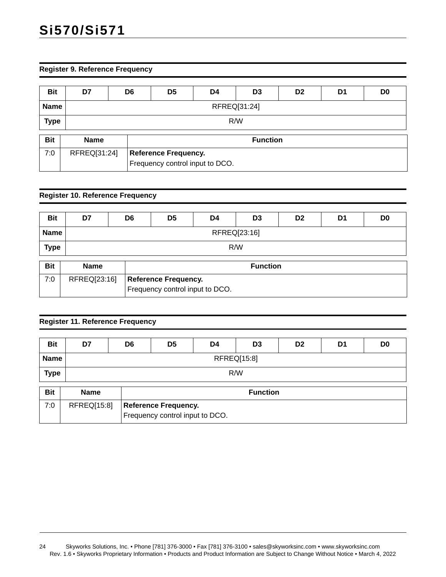#### **Register 9. Reference Frequency**

| <b>Bit</b>  | D7           | D6              | D <sub>5</sub><br>D <sub>2</sub><br>D <sub>0</sub><br>D <sub>3</sub><br>D4<br>D <sub>1</sub> |                                 |  |  |  |  |  |  |
|-------------|--------------|-----------------|----------------------------------------------------------------------------------------------|---------------------------------|--|--|--|--|--|--|
| <b>Name</b> |              | RFREQ[31:24]    |                                                                                              |                                 |  |  |  |  |  |  |
| <b>Type</b> | R/W          |                 |                                                                                              |                                 |  |  |  |  |  |  |
| <b>Bit</b>  | <b>Name</b>  | <b>Function</b> |                                                                                              |                                 |  |  |  |  |  |  |
| 7:0         | RFREQ[31:24] |                 | <b>Reference Frequency.</b>                                                                  | Frequency control input to DCO. |  |  |  |  |  |  |

### **Register 10. Reference Frequency**

| <b>Bit</b>  | D7                             | D <sub>5</sub><br>D <sub>2</sub><br>D <sub>0</sub><br>D <sub>6</sub><br>D <sub>3</sub><br>D4<br>D1 |                                 |  |  |  |  |  |  |  |
|-------------|--------------------------------|----------------------------------------------------------------------------------------------------|---------------------------------|--|--|--|--|--|--|--|
| <b>Name</b> | RFREQ[23:16]                   |                                                                                                    |                                 |  |  |  |  |  |  |  |
| <b>Type</b> | R/W                            |                                                                                                    |                                 |  |  |  |  |  |  |  |
| <b>Bit</b>  | <b>Function</b><br><b>Name</b> |                                                                                                    |                                 |  |  |  |  |  |  |  |
| 7:0         | RFREQ[23:16]                   | <b>Reference Frequency.</b>                                                                        |                                 |  |  |  |  |  |  |  |
|             |                                |                                                                                                    | Frequency control input to DCO. |  |  |  |  |  |  |  |

#### **Register 11. Reference Frequency**

| <b>Bit</b>  | D7          | D <sub>5</sub><br>D <sub>6</sub><br>D <sub>3</sub><br>D <sub>2</sub><br>D <sub>1</sub><br>D <sub>0</sub><br>D4 |                                                                |  |                 |  |  |  |  |  |
|-------------|-------------|----------------------------------------------------------------------------------------------------------------|----------------------------------------------------------------|--|-----------------|--|--|--|--|--|
| <b>Name</b> |             | RFREQ[15:8]                                                                                                    |                                                                |  |                 |  |  |  |  |  |
| <b>Type</b> |             | R/W                                                                                                            |                                                                |  |                 |  |  |  |  |  |
| Bit         | <b>Name</b> |                                                                                                                |                                                                |  | <b>Function</b> |  |  |  |  |  |
| 7:0         | RFREQ[15:8] |                                                                                                                | <b>Reference Frequency.</b><br>Frequency control input to DCO. |  |                 |  |  |  |  |  |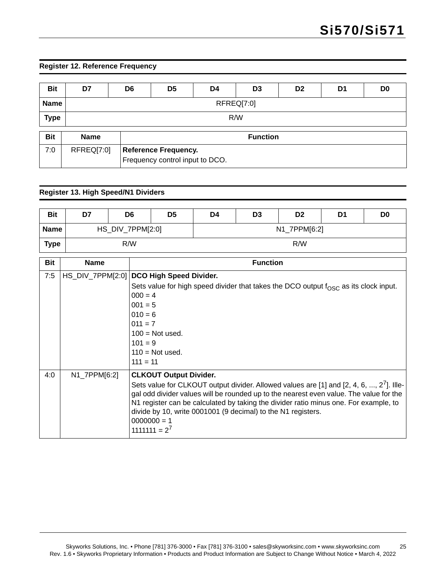### **Register 12. Reference Frequency**

| <b>Bit</b>  | D7          | D <sub>5</sub><br>D <sub>6</sub><br>D <sub>0</sub><br>D4<br>D <sub>3</sub><br>D <sub>2</sub><br>D1 |  |  |                 |  |  |  |  |
|-------------|-------------|----------------------------------------------------------------------------------------------------|--|--|-----------------|--|--|--|--|
| <b>Name</b> |             | RFREQ[7:0]                                                                                         |  |  |                 |  |  |  |  |
| <b>Type</b> |             | R/W                                                                                                |  |  |                 |  |  |  |  |
| <b>Bit</b>  | <b>Name</b> |                                                                                                    |  |  | <b>Function</b> |  |  |  |  |
| 7:0         | RFREQ[7:0]  | <b>Reference Frequency.</b><br>Frequency control input to DCO.                                     |  |  |                 |  |  |  |  |

### **Register 13. High Speed/N1 Dividers**

| <b>Bit</b>  | D7               | D <sub>6</sub>   |                                  | D <sub>5</sub>                | D4           | D <sub>3</sub>  | D <sub>2</sub>                                               | D1                                                                                                                                                                                                                                                                            | D <sub>0</sub> |  |  |
|-------------|------------------|------------------|----------------------------------|-------------------------------|--------------|-----------------|--------------------------------------------------------------|-------------------------------------------------------------------------------------------------------------------------------------------------------------------------------------------------------------------------------------------------------------------------------|----------------|--|--|
| <b>Name</b> |                  | HS_DIV_7PPM[2:0] |                                  |                               | N1_7PPM[6:2] |                 |                                                              |                                                                                                                                                                                                                                                                               |                |  |  |
| <b>Type</b> |                  | R/W              |                                  |                               | R/W          |                 |                                                              |                                                                                                                                                                                                                                                                               |                |  |  |
| <b>Bit</b>  | <b>Name</b>      |                  |                                  |                               |              | <b>Function</b> |                                                              |                                                                                                                                                                                                                                                                               |                |  |  |
| 7:5         | HS_DIV_7PPM[2:0] |                  |                                  | DCO High Speed Divider.       |              |                 |                                                              |                                                                                                                                                                                                                                                                               |                |  |  |
|             |                  |                  |                                  |                               |              |                 |                                                              | Sets value for high speed divider that takes the DCO output $f_{OSC}$ as its clock input.                                                                                                                                                                                     |                |  |  |
|             |                  |                  | $000 = 4$                        |                               |              |                 |                                                              |                                                                                                                                                                                                                                                                               |                |  |  |
|             |                  |                  | $001 = 5$                        |                               |              |                 |                                                              |                                                                                                                                                                                                                                                                               |                |  |  |
|             |                  |                  | $010 = 6$                        |                               |              |                 |                                                              |                                                                                                                                                                                                                                                                               |                |  |  |
|             |                  |                  | $011 = 7$                        |                               |              |                 |                                                              |                                                                                                                                                                                                                                                                               |                |  |  |
|             |                  |                  |                                  | $100 = Not used$ .            |              |                 |                                                              |                                                                                                                                                                                                                                                                               |                |  |  |
|             |                  |                  | $101 = 9$                        |                               |              |                 |                                                              |                                                                                                                                                                                                                                                                               |                |  |  |
|             |                  |                  |                                  | $110 = Not used$ .            |              |                 |                                                              |                                                                                                                                                                                                                                                                               |                |  |  |
|             |                  |                  | $111 = 11$                       |                               |              |                 |                                                              |                                                                                                                                                                                                                                                                               |                |  |  |
| 4:0         | N1_7PPM[6:2]     |                  |                                  | <b>CLKOUT Output Divider.</b> |              |                 |                                                              |                                                                                                                                                                                                                                                                               |                |  |  |
|             |                  |                  | $0000000 = 1$<br>$1111111 = 2^7$ |                               |              |                 | divide by 10, write 0001001 (9 decimal) to the N1 registers. | Sets value for CLKOUT output divider. Allowed values are [1] and [2, 4, 6, , $2^7$ ]. Ille-<br>gal odd divider values will be rounded up to the nearest even value. The value for the<br>N1 register can be calculated by taking the divider ratio minus one. For example, to |                |  |  |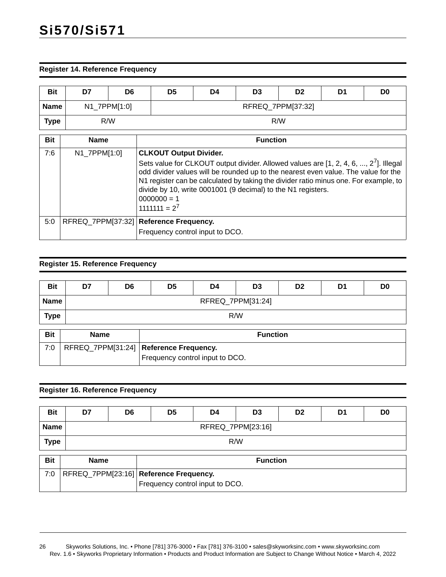#### **Register 14. Reference Frequency**

| <b>Bit</b>  | D7                                                                          | D <sub>6</sub>                 | D <sub>5</sub>                                                                                                                                                                                                                                                                                                                                                                                              | D4 | D <sub>3</sub> | D <sub>2</sub> | D1 | D <sub>0</sub> |  |  |
|-------------|-----------------------------------------------------------------------------|--------------------------------|-------------------------------------------------------------------------------------------------------------------------------------------------------------------------------------------------------------------------------------------------------------------------------------------------------------------------------------------------------------------------------------------------------------|----|----------------|----------------|----|----------------|--|--|
| <b>Name</b> |                                                                             | N1_7PPM[1:0]                   | RFREQ_7PPM[37:32]                                                                                                                                                                                                                                                                                                                                                                                           |    |                |                |    |                |  |  |
| <b>Type</b> |                                                                             | R/W                            | R/W                                                                                                                                                                                                                                                                                                                                                                                                         |    |                |                |    |                |  |  |
| <b>Bit</b>  |                                                                             | <b>Function</b><br><b>Name</b> |                                                                                                                                                                                                                                                                                                                                                                                                             |    |                |                |    |                |  |  |
| 7:6         | N1_7PPM[1:0]                                                                |                                | <b>CLKOUT Output Divider.</b><br>Sets value for CLKOUT output divider. Allowed values are $[1, 2, 4, 6, , 2^7]$ . Illegal<br>odd divider values will be rounded up to the nearest even value. The value for the<br>N1 register can be calculated by taking the divider ratio minus one. For example, to<br>divide by 10, write 0001001 (9 decimal) to the N1 registers.<br>$0000000 = 1$<br>$1111111 = 2^7$ |    |                |                |    |                |  |  |
| 5:0         | RFREQ_7PPM[37:32]   Reference Frequency.<br>Frequency control input to DCO. |                                |                                                                                                                                                                                                                                                                                                                                                                                                             |    |                |                |    |                |  |  |

### **Register 15. Reference Frequency**

| <b>Bit</b>  | D7          | D <sub>0</sub><br>D <sub>5</sub><br>D <sub>6</sub><br>D <sub>3</sub><br>D <sub>2</sub><br>D4<br>D <sub>1</sub> |                                                                             |                   |                 |  |  |  |
|-------------|-------------|----------------------------------------------------------------------------------------------------------------|-----------------------------------------------------------------------------|-------------------|-----------------|--|--|--|
| <b>Name</b> |             |                                                                                                                |                                                                             | RFREQ_7PPM[31:24] |                 |  |  |  |
| <b>Type</b> |             | R/W                                                                                                            |                                                                             |                   |                 |  |  |  |
| <b>Bit</b>  | <b>Name</b> |                                                                                                                |                                                                             |                   | <b>Function</b> |  |  |  |
| 7:0         |             |                                                                                                                | RFREQ_7PPM[31:24]   Reference Frequency.<br>Frequency control input to DCO. |                   |                 |  |  |  |

#### **Register 16. Reference Frequency**

| <b>Bit</b>  | D7                | D <sub>6</sub> | D <sub>5</sub> | D4 | D <sub>3</sub> | D <sub>2</sub> | D1 | D <sub>0</sub> |
|-------------|-------------------|----------------|----------------|----|----------------|----------------|----|----------------|
| <b>Name</b> | RFREQ_7PPM[23:16] |                |                |    |                |                |    |                |
| <b>Type</b> | R/W               |                |                |    |                |                |    |                |

| <b>Bit</b> | <b>Name</b> | <b>Function</b>                        |
|------------|-------------|----------------------------------------|
| 7:0        |             | RFREQ_7PPM[23:16] Reference Frequency. |
|            |             | Frequency control input to DCO.        |

<sup>26</sup> Skyworks Solutions, Inc. • Phone [781] 376-3000 • Fax [781] 376-3100 • sales@skyworksinc.com • www.skyworksinc.com Rev. 1.6 • Skyworks Proprietary Information • Products and Product Information are Subject to Change Without Notice • March 4, 2022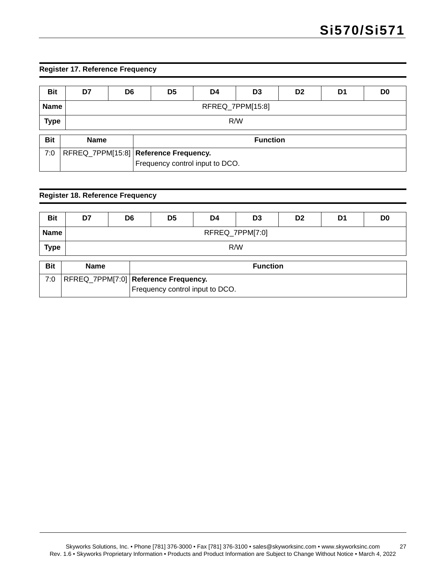### **Register 17. Reference Frequency**

| <b>Bit</b>  | D7          | D <sub>6</sub>   | D <sub>5</sub><br>D <sub>2</sub><br>D <sub>0</sub><br>D4<br>D <sub>3</sub><br>D1 |  |                 |  |  |  |  |
|-------------|-------------|------------------|----------------------------------------------------------------------------------|--|-----------------|--|--|--|--|
| <b>Name</b> |             | RFREQ_7PPM[15:8] |                                                                                  |  |                 |  |  |  |  |
| <b>Type</b> |             | R/W              |                                                                                  |  |                 |  |  |  |  |
| <b>Bit</b>  | <b>Name</b> |                  |                                                                                  |  | <b>Function</b> |  |  |  |  |
| 7:0         |             |                  | RFREQ_7PPM[15:8]   Reference Frequency.<br>Frequency control input to DCO.       |  |                 |  |  |  |  |

### **Register 18. Reference Frequency**

| <b>Bit</b>  | D7          | D <sub>6</sub>  | D <sub>5</sub> | D4 | D <sub>3</sub> | D <sub>2</sub> | D1 | D <sub>0</sub> |
|-------------|-------------|-----------------|----------------|----|----------------|----------------|----|----------------|
| <b>Name</b> |             | RFREQ_7PPM[7:0] |                |    |                |                |    |                |
| <b>Type</b> |             | R/W             |                |    |                |                |    |                |
| <b>Bit</b>  | <b>Name</b> | <b>Function</b> |                |    |                |                |    |                |

| --- | . | .                                    |
|-----|---|--------------------------------------|
| 7:0 |   | RFREQ_7PPM[7:0] Reference Frequency. |
|     |   | Frequency control input to DCO.      |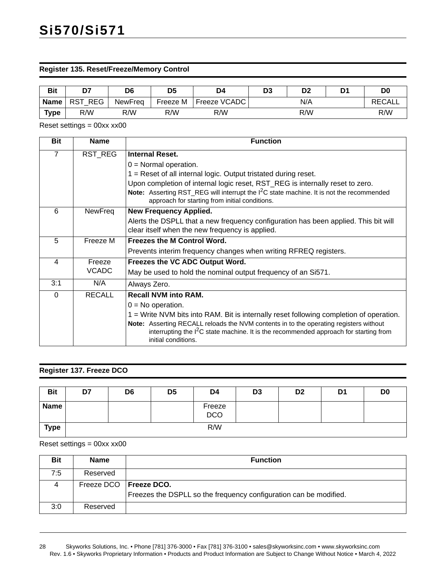#### **Register 135. Reset/Freeze/Memory Control**

| <b>Bit</b>  | D7      | D6             | D <sub>5</sub> | D4                  | D <sub>3</sub> | D <sub>2</sub> | D1 | D <sub>0</sub> |
|-------------|---------|----------------|----------------|---------------------|----------------|----------------|----|----------------|
| <b>Name</b> | RST REG | <b>NewFreq</b> | Freeze M       | <b>Freeze VCADC</b> |                | N/A            |    | <b>RECALL</b>  |
| Type        | R/W     | R/W            | R/W            | R/W                 |                | R/W            |    | R/W            |

Reset settings = 00xx xx00

| <b>Bit</b>              | <b>Name</b>   | <b>Function</b>                                                                                                                                                                                        |
|-------------------------|---------------|--------------------------------------------------------------------------------------------------------------------------------------------------------------------------------------------------------|
| $\overline{7}$          | RST_REG       | <b>Internal Reset.</b>                                                                                                                                                                                 |
|                         |               | $0 =$ Normal operation.                                                                                                                                                                                |
|                         |               | 1 = Reset of all internal logic. Output tristated during reset.                                                                                                                                        |
|                         |               | Upon completion of internal logic reset, RST_REG is internally reset to zero.                                                                                                                          |
|                         |               | Note: Asserting RST_REG will interrupt the I <sup>2</sup> C state machine. It is not the recommended<br>approach for starting from initial conditions.                                                 |
| 6                       | NewFreq       | <b>New Frequency Applied.</b>                                                                                                                                                                          |
|                         |               | Alerts the DSPLL that a new frequency configuration has been applied. This bit will                                                                                                                    |
|                         |               | clear itself when the new frequency is applied.                                                                                                                                                        |
| 5                       | Freeze M      | <b>Freezes the M Control Word.</b>                                                                                                                                                                     |
|                         |               | Prevents interim frequency changes when writing RFREQ registers.                                                                                                                                       |
| $\overline{\mathbf{4}}$ | Freeze        | Freezes the VC ADC Output Word.                                                                                                                                                                        |
|                         | <b>VCADC</b>  | May be used to hold the nominal output frequency of an Si571.                                                                                                                                          |
| 3:1                     | N/A           | Always Zero.                                                                                                                                                                                           |
| $\Omega$                | <b>RECALL</b> | <b>Recall NVM into RAM.</b>                                                                                                                                                                            |
|                         |               | $0 = No operation$ .                                                                                                                                                                                   |
|                         |               | 1 = Write NVM bits into RAM. Bit is internally reset following completion of operation.                                                                                                                |
|                         |               | Note: Asserting RECALL reloads the NVM contents in to the operating registers without<br>interrupting the $I2C$ state machine. It is the recommended approach for starting from<br>initial conditions. |
|                         |               |                                                                                                                                                                                                        |

#### **Register 137. Freeze DCO**

| <b>Bit</b>  | D7 | D <sub>6</sub> | D <sub>5</sub> | D4                   | D <sub>3</sub> | D <sub>2</sub> | D1 | D <sub>0</sub> |
|-------------|----|----------------|----------------|----------------------|----------------|----------------|----|----------------|
| <b>Name</b> |    |                |                | Freeze<br><b>DCO</b> |                |                |    |                |
| <b>Type</b> |    |                |                | R/W                  |                |                |    |                |

Reset settings = 00xx xx00

| Bit | <b>Name</b>              | <b>Function</b>                                                   |
|-----|--------------------------|-------------------------------------------------------------------|
| 7:5 | Reserved                 |                                                                   |
| 4   | Freeze DCO   Freeze DCO. | Freezes the DSPLL so the frequency configuration can be modified. |
| 3:0 | Reserved                 |                                                                   |

<sup>28</sup> Skyworks Solutions, Inc. • Phone [781] 376-3000 • Fax [781] 376-3100 • sales@skyworksinc.com • www.skyworksinc.com Rev. 1.6 • Skyworks Proprietary Information • Products and Product Information are Subject to Change Without Notice • March 4, 2022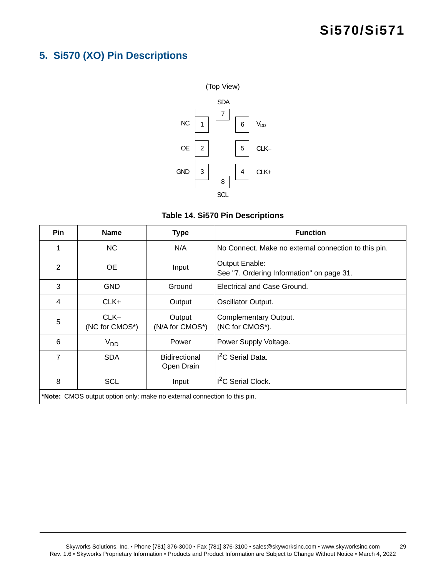### <span id="page-28-0"></span>**5. Si570 (XO) Pin Descriptions**



### **Table 14. Si570 Pin Descriptions**

| Pin                                                                      | <b>Name</b>              | <b>Type</b>                 | <b>Function</b>                                             |
|--------------------------------------------------------------------------|--------------------------|-----------------------------|-------------------------------------------------------------|
|                                                                          | NC.                      | N/A                         | No Connect. Make no external connection to this pin.        |
| 2                                                                        | <b>OE</b>                | Input                       | Output Enable:<br>See "7. Ordering Information" on page 31. |
| 3                                                                        | <b>GND</b>               | Ground                      | Electrical and Case Ground.                                 |
| 4                                                                        | CLK+                     | Output                      | Oscillator Output.                                          |
| 5                                                                        | $CLK-$<br>(NC for CMOS*) | Output<br>(N/A for CMOS*)   | Complementary Output.<br>(NC for CMOS*).                    |
| 6                                                                        | V <sub>DD</sub>          | Power                       | Power Supply Voltage.                                       |
| 7                                                                        | <b>SDA</b>               | Bidirectional<br>Open Drain | <sup>2</sup> C Serial Data.                                 |
| 8                                                                        | <b>SCL</b>               | Input                       | <sup>2</sup> C Serial Clock.                                |
| *Note: CMOS output option only: make no external connection to this pin. |                          |                             |                                                             |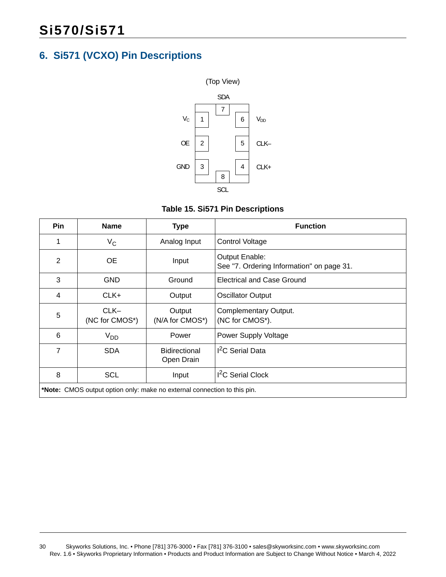### <span id="page-29-0"></span>**6. Si571 (VCXO) Pin Descriptions**





| <b>Pin</b>                                                               | <b>Name</b>              | <b>Type</b>                 | <b>Function</b>                                             |
|--------------------------------------------------------------------------|--------------------------|-----------------------------|-------------------------------------------------------------|
|                                                                          | $V_C$                    | Analog Input                | <b>Control Voltage</b>                                      |
| $\overline{2}$                                                           | <b>OE</b>                | Input                       | Output Enable:<br>See "7. Ordering Information" on page 31. |
| 3                                                                        | <b>GND</b>               | Ground                      | Electrical and Case Ground                                  |
| 4                                                                        | CLK+                     | Output                      | <b>Oscillator Output</b>                                    |
| 5                                                                        | $CLK-$<br>(NC for CMOS*) | Output<br>(N/A for CMOS*)   | Complementary Output.<br>(NC for CMOS*).                    |
| 6                                                                        | V <sub>DD</sub>          | Power                       | <b>Power Supply Voltage</b>                                 |
| 7                                                                        | <b>SDA</b>               | Bidirectional<br>Open Drain | <sup>2</sup> C Serial Data                                  |
| 8                                                                        | <b>SCL</b>               | Input                       | <sup>2</sup> C Serial Clock                                 |
| *Note: CMOS output option only: make no external connection to this pin. |                          |                             |                                                             |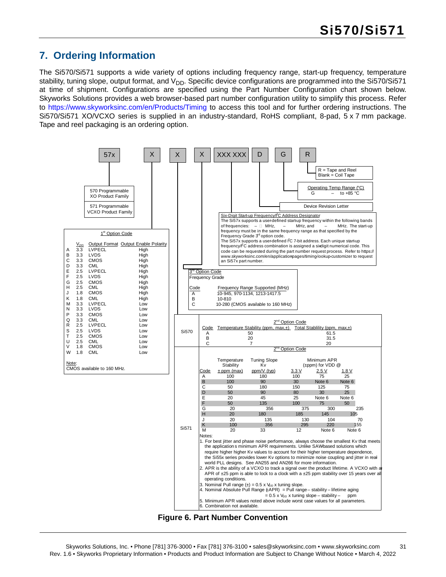### <span id="page-30-0"></span>**7. Ordering Information**

The Si570/Si571 supports a wide variety of options including frequency range, start-up frequency, temperature stability, tuning slope, output format, and  $V_{DD}$ . Specific device configurations are programmed into the Si570/Si571 at time of shipment. Configurations are specified using the Part Number Configuration chart shown below. Skyworks Solutions provides a web browser-based part number configuration utility to simplify this process. Refer to [https://www.skyworksinc.com/en/Products/Timing t](https://www.skyworksinc.com/en/Products/Timing)o access this tool and for further ordering instructions. The Si570/Si571 XO/VCXO series is supplied in an industry-standard, RoHS compliant, 8-pad, 5 x 7 mm package. Tape and reel packaging is an ordering option.

<span id="page-30-1"></span>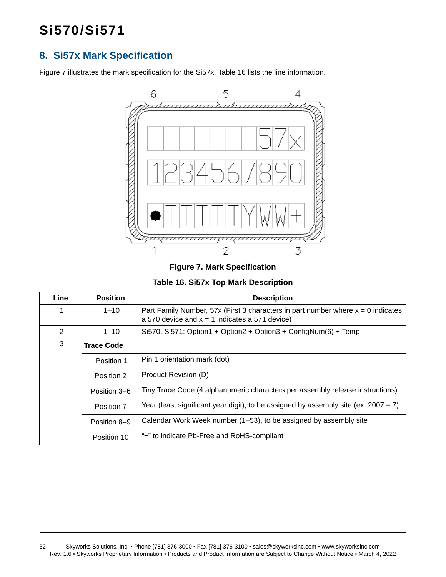### <span id="page-31-0"></span>**8. Si57x Mark Specification**

[Figure 7](#page-31-1) illustrates the mark specification for the Si57x. [Table 16](#page-31-2) lists the line information.



**Figure 7. Mark Specification**

**Table 16. Si57x Top Mark Description**

<span id="page-31-2"></span><span id="page-31-1"></span>

| Line                                               | <b>Position</b>   | <b>Description</b>                                                                                                                     |  |
|----------------------------------------------------|-------------------|----------------------------------------------------------------------------------------------------------------------------------------|--|
| 1                                                  | $1 - 10$          | Part Family Number, 57x (First 3 characters in part number where $x = 0$ indicates<br>a 570 device and $x = 1$ indicates a 571 device) |  |
| 2                                                  | $1 - 10$          | Si570, Si571: Option1 + Option2 + Option3 + ConfigNum(6) + Temp                                                                        |  |
| 3                                                  | <b>Trace Code</b> |                                                                                                                                        |  |
|                                                    | Position 1        | Pin 1 orientation mark (dot)                                                                                                           |  |
| Product Revision (D)<br>Position 2<br>Position 3-6 |                   |                                                                                                                                        |  |
|                                                    |                   | Tiny Trace Code (4 alphanumeric characters per assembly release instructions)                                                          |  |
|                                                    | Position 7        | Year (least significant year digit), to be assigned by assembly site (ex: $2007 = 7$ )                                                 |  |
|                                                    | Position 8-9      | Calendar Work Week number (1–53), to be assigned by assembly site                                                                      |  |
|                                                    | Position 10       | "+" to indicate Pb-Free and RoHS-compliant                                                                                             |  |

32 Skyworks Solutions, Inc. • Phone [781] 376-3000 • Fax [781] 376-3100 • sales@skyworksinc.com • www.skyworksinc.com Rev. 1.6 • Skyworks Proprietary Information • Products and Product Information are Subject to Change Without Notice • March 4, 2022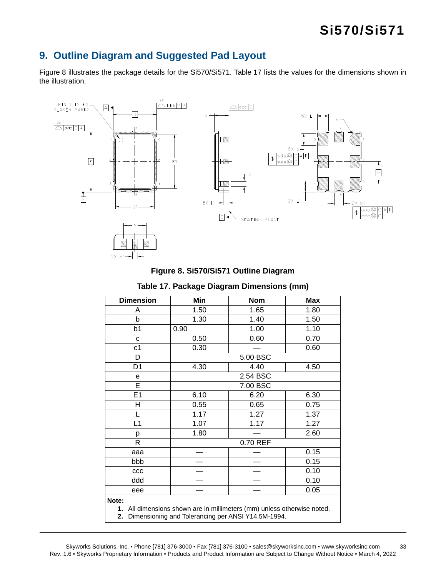### <span id="page-32-0"></span>**9. Outline Diagram and Suggested Pad Layout**

[Figure 8](#page-32-1) illustrates the package details for the Si570/Si571. [Table 17](#page-32-2) lists the values for the dimensions shown in the illustration.





### **Table 17. Package Diagram Dimensions (mm)**

<span id="page-32-2"></span><span id="page-32-1"></span>

| <b>Dimension</b>                                                                                                                             | Min      | <b>Nom</b> | <b>Max</b> |
|----------------------------------------------------------------------------------------------------------------------------------------------|----------|------------|------------|
| A                                                                                                                                            | 1.50     | 1.65       | 1.80       |
| b                                                                                                                                            | 1.30     | 1.40       | 1.50       |
| b <sub>1</sub>                                                                                                                               | 0.90     | 1.00       | 1.10       |
| C                                                                                                                                            | 0.50     | 0.60       | 0.70       |
| c <sub>1</sub>                                                                                                                               | 0.30     |            | 0.60       |
| D                                                                                                                                            | 5.00 BSC |            |            |
| D <sub>1</sub>                                                                                                                               | 4.30     | 4.40       | 4.50       |
| e                                                                                                                                            | 2.54 BSC |            |            |
| E                                                                                                                                            | 7.00 BSC |            |            |
| E <sub>1</sub>                                                                                                                               | 6.10     | 6.20       | 6.30       |
| н                                                                                                                                            | 0.55     | 0.65       | 0.75       |
|                                                                                                                                              | 1.17     | 1.27       | 1.37       |
| L1                                                                                                                                           | 1.07     | 1.17       | 1.27       |
| р                                                                                                                                            | 1.80     |            | 2.60       |
| R                                                                                                                                            | 0.70 REF |            |            |
| aaa                                                                                                                                          |          |            | 0.15       |
| bbb                                                                                                                                          |          |            | 0.15       |
| CCC                                                                                                                                          |          |            | 0.10       |
| ddd                                                                                                                                          |          |            | 0.10       |
| eee                                                                                                                                          |          |            | 0.05       |
| Note:<br>1. All dimensions shown are in millimeters (mm) unless otherwise noted.<br>Dimensioning and Tolerancing per ANSI Y14.5M-1994.<br>2. |          |            |            |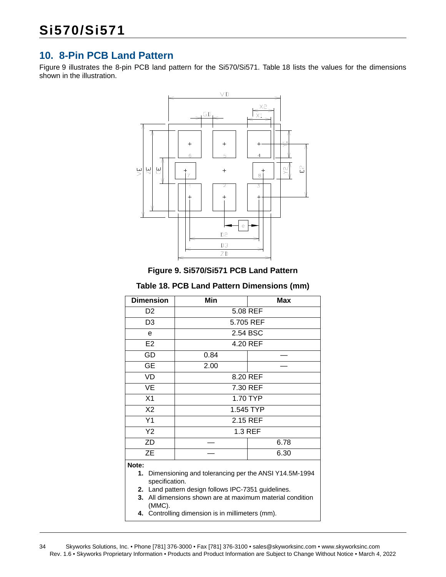### <span id="page-33-0"></span>**10. 8-Pin PCB Land Pattern**

[Figure 9](#page-33-1) illustrates the 8-pin PCB land pattern for the Si570/Si571. [Table 18](#page-33-2) lists the values for the dimensions shown in the illustration.



**Figure 9. Si570/Si571 PCB Land Pattern**

#### **Table 18. PCB Land Pattern Dimensions (mm)**

<span id="page-33-2"></span><span id="page-33-1"></span>

| <b>Dimension</b>                                                     | Min       | Max  |  |
|----------------------------------------------------------------------|-----------|------|--|
| D <sub>2</sub>                                                       | 5.08 REF  |      |  |
| D3                                                                   | 5.705 REF |      |  |
| е                                                                    | 2.54 BSC  |      |  |
| E <sub>2</sub>                                                       | 4.20 REF  |      |  |
| GD                                                                   | 0.84      |      |  |
| <b>GE</b>                                                            | 2.00      |      |  |
| VD                                                                   | 8.20 REF  |      |  |
| VE                                                                   | 7.30 REF  |      |  |
| X1                                                                   | 1.70 TYP  |      |  |
| X2                                                                   | 1.545 TYP |      |  |
| Y1                                                                   | 2.15 REF  |      |  |
| Y2                                                                   | 1.3 REF   |      |  |
| ZD                                                                   |           | 6.78 |  |
| ZE                                                                   |           | 6.30 |  |
| Note:<br>Dimensioning and tolerancing per the ANSI Y14.5M-1994<br>1. |           |      |  |

- **1.** Dimensioning and tolerancing per the ANSI Y14.5M-1994 specification.
- **2.** Land pattern design follows IPC-7351 guidelines.
- **3.** All dimensions shown are at maximum material condition (MMC).
- **4.** Controlling dimension is in millimeters (mm).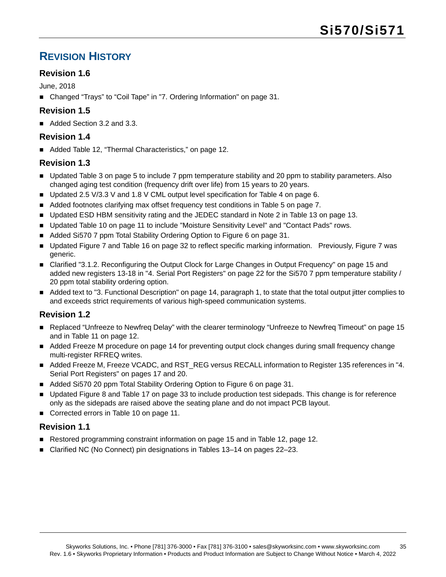### <span id="page-34-0"></span>**REVISION HISTORY**

### **Revision 1.6**

June, 2018

■ Changed "Trays" to "Coil Tape" in ["7. Ordering Information" on page 31.](#page-30-0)

### **Revision 1.5**

Added Section 3.2 and 3.3.

### **Revision 1.4**

■ Added [Table 12, "Thermal Characteristics," on page 12](#page-11-1).

### **Revision 1.3**

- Updated [Table 3 on page 5](#page-4-4) to include 7 ppm temperature stability and 20 ppm to stability parameters. Also changed aging test condition (frequency drift over life) from 15 years to 20 years.
- Updated 2.5 V/3.3 V and 1.8 V CML output level specification for [Table 4 on page 6.](#page-5-3)
- Added footnotes clarifying max offset frequency test conditions in [Table 5 on page 7](#page-6-2).
- Updated ESD HBM sensitivity rating and the JEDEC standard in Note 2 in [Table 13 on page 13](#page-12-2).
- **Updated [Table 10 on page 11](#page-10-0) to include "Moisture Sensitivity Level" and "Contact Pads" rows.**
- Added Si570 7 ppm Total Stability Ordering Option to [Figure 6 on page 31.](#page-30-1)
- Updated [Figure 7](#page-31-1) and [Table 16 on page 32](#page-31-2) to reflect specific marking information. Previously, Figure 7 was generic.
- Clarified ["3.1.2. Reconfiguring the Output Clock for Large Changes in Output Frequency" on page 15](#page-14-0) and added new registers 13-18 in ["4. Serial Port Registers" on page 22](#page-21-0) for the Si570 7 ppm temperature stability / 20 ppm total stability ordering option.
- Added text to ["3. Functional Description" on page 14,](#page-13-0) paragraph 1, to state that the total output jitter complies to and exceeds strict requirements of various high-speed communication systems.

### **Revision 1.2**

- Replaced "Unfreeze to Newfreq Delay" with the clearer terminology "Unfreeze to Newfreq Timeout" on page 15 and in [Table 11 on page 12](#page-11-0).
- Added Freeze M procedure on page 14 for preventing output clock changes during small frequency change multi-register RFREQ writes.
- Added Freeze M, Freeze VCADC, and RST\_REG versus RECALL information to Register 135 references in "4. Serial Port Registers" on pages 17 and 20.
- Added Si570 20 ppm Total Stability Ordering Option to [Figure 6 on page 31](#page-30-1).
- Updated [Figure 8](#page-32-1) and [Table 17 on page 33](#page-32-2) to include production test sidepads. This change is for reference only as the sidepads are raised above the seating plane and do not impact PCB layout.
- Corrected errors in [Table 10 on page 11](#page-10-0).

### **Revision 1.1**

- Restored programming constraint information on page 15 and in Table 12, page 12.
- Clarified NC (No Connect) pin designations in Tables 13–14 on pages 22–23.